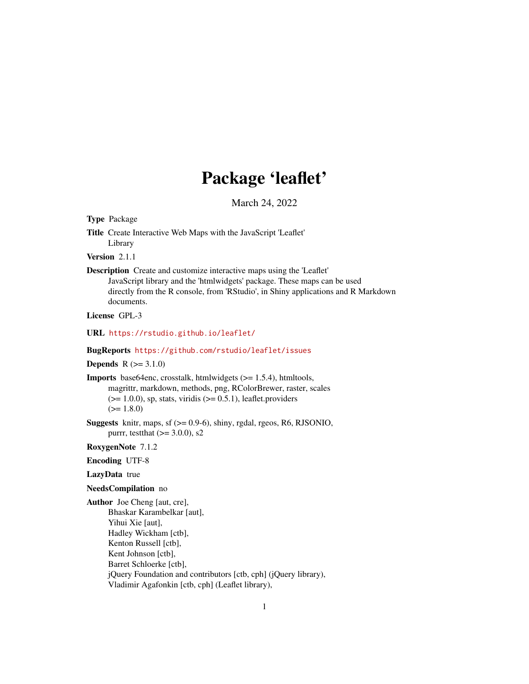# Package 'leaflet'

March 24, 2022

<span id="page-0-0"></span>Type Package

Title Create Interactive Web Maps with the JavaScript 'Leaflet' Library

Version 2.1.1

Description Create and customize interactive maps using the 'Leaflet' JavaScript library and the 'htmlwidgets' package. These maps can be used directly from the R console, from 'RStudio', in Shiny applications and R Markdown documents.

License GPL-3

URL <https://rstudio.github.io/leaflet/>

#### BugReports <https://github.com/rstudio/leaflet/issues>

#### **Depends**  $R (= 3.1.0)$

Imports base64enc, crosstalk, htmlwidgets (>= 1.5.4), htmltools, magrittr, markdown, methods, png, RColorBrewer, raster, scales  $(>= 1.0.0)$ , sp, stats, viridis  $(>= 0.5.1)$ , leaflet.providers  $(>= 1.8.0)$ 

Suggests knitr, maps, sf (>= 0.9-6), shiny, rgdal, rgeos, R6, RJSONIO, purrr, testthat  $(>= 3.0.0)$ , s2

RoxygenNote 7.1.2

## Encoding UTF-8

## LazyData true

#### NeedsCompilation no

Author Joe Cheng [aut, cre], Bhaskar Karambelkar [aut], Yihui Xie [aut], Hadley Wickham [ctb], Kenton Russell [ctb], Kent Johnson [ctb], Barret Schloerke [ctb], jQuery Foundation and contributors [ctb, cph] (jQuery library), Vladimir Agafonkin [ctb, cph] (Leaflet library),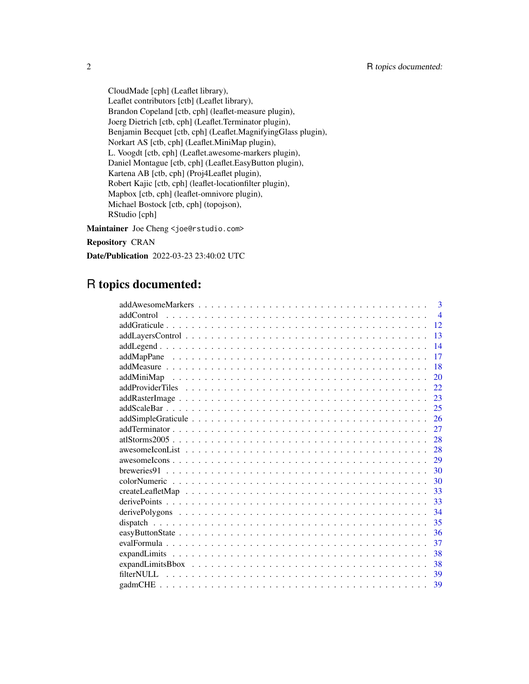CloudMade [cph] (Leaflet library), Leaflet contributors [ctb] (Leaflet library), Brandon Copeland [ctb, cph] (leaflet-measure plugin), Joerg Dietrich [ctb, cph] (Leaflet.Terminator plugin), Benjamin Becquet [ctb, cph] (Leaflet.MagnifyingGlass plugin), Norkart AS [ctb, cph] (Leaflet.MiniMap plugin), L. Voogdt [ctb, cph] (Leaflet.awesome-markers plugin), Daniel Montague [ctb, cph] (Leaflet.EasyButton plugin), Kartena AB [ctb, cph] (Proj4Leaflet plugin), Robert Kajic [ctb, cph] (leaflet-locationfilter plugin), Mapbox [ctb, cph] (leaflet-omnivore plugin), Michael Bostock [ctb, cph] (topojson), RStudio [cph]

Maintainer Joe Cheng <joe@rstudio.com>

Repository CRAN

Date/Publication 2022-03-23 23:40:02 UTC

# R topics documented:

| $\mathbf{3}$   |
|----------------|
| $\overline{4}$ |
| 12             |
| 13             |
| 14             |
| 17             |
| 18             |
| 20             |
| 22.            |
| 23             |
| 25             |
| 26             |
| 27             |
| 28             |
| 28             |
| 29             |
| 30             |
| 30             |
| 33             |
| 33             |
| 34             |
| 35             |
| 36             |
| 37             |
| 38             |
| 38             |
| 39             |
| 39             |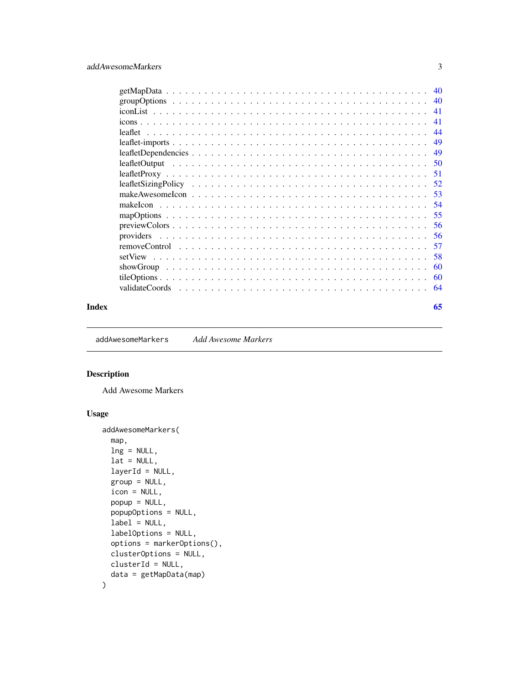<span id="page-2-0"></span>

| $getMapData \dots \dots \dots \dots \dots \dots \dots \dots \dots \dots \dots \dots \dots \dots \dots \dots$ | 40  |
|--------------------------------------------------------------------------------------------------------------|-----|
|                                                                                                              | 40  |
|                                                                                                              | 41  |
|                                                                                                              | 41  |
|                                                                                                              | -44 |
|                                                                                                              | 49  |
|                                                                                                              | 49  |
|                                                                                                              | 50  |
|                                                                                                              | -51 |
|                                                                                                              | 52  |
|                                                                                                              | 53  |
|                                                                                                              | 54  |
|                                                                                                              | 55  |
|                                                                                                              | -56 |
|                                                                                                              | .56 |
|                                                                                                              | .57 |
|                                                                                                              | 58  |
|                                                                                                              | 60  |
|                                                                                                              | 60  |
|                                                                                                              | -64 |
|                                                                                                              |     |

#### **Index** [65](#page-64-0)

<span id="page-2-1"></span>addAwesomeMarkers *Add Awesome Markers*

## Description

Add Awesome Markers

## Usage

```
addAwesomeMarkers(
 map,
 lng = NULL,
  lat = NULL,layerId = NULL,group = NULL,
  icon = NULL,
  popup = NULL,
  popupOptions = NULL,
  label = NULL,labelOptions = NULL,
  options = markerOptions(),
  clusterOptions = NULL,
 clusterId = NULL,
  data = getMapData(map)
\mathcal{L}
```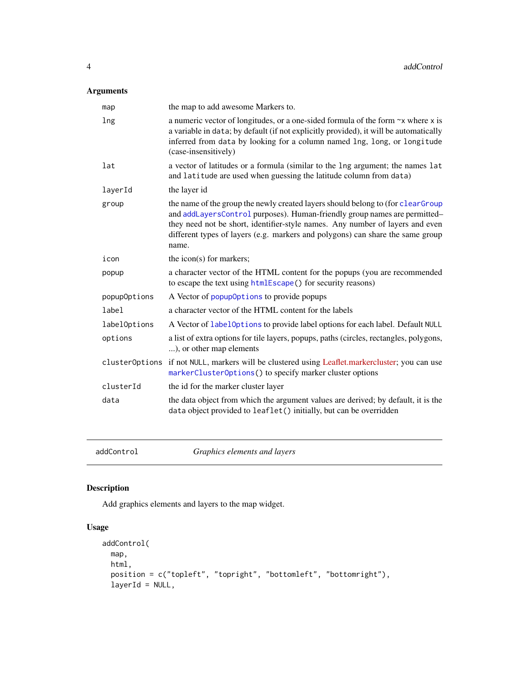## <span id="page-3-0"></span>Arguments

| map            | the map to add awesome Markers to.                                                                                                                                                                                                                                                                                                       |
|----------------|------------------------------------------------------------------------------------------------------------------------------------------------------------------------------------------------------------------------------------------------------------------------------------------------------------------------------------------|
| lng            | a numeric vector of longitudes, or a one-sided formula of the form $\sim x$ where x is<br>a variable in data; by default (if not explicitly provided), it will be automatically<br>inferred from data by looking for a column named lng, long, or longitude<br>(case-insensitively)                                                      |
| lat            | a vector of latitudes or a formula (similar to the lng argument; the names lat<br>and latitude are used when guessing the latitude column from data)                                                                                                                                                                                     |
| layerId        | the layer id                                                                                                                                                                                                                                                                                                                             |
| group          | the name of the group the newly created layers should belong to (for clearGroup<br>and addLayersControl purposes). Human-friendly group names are permitted-<br>they need not be short, identifier-style names. Any number of layers and even<br>different types of layers (e.g. markers and polygons) can share the same group<br>name. |
| icon           | the icon(s) for markers;                                                                                                                                                                                                                                                                                                                 |
| popup          | a character vector of the HTML content for the popups (you are recommended<br>to escape the text using htmlEscape() for security reasons)                                                                                                                                                                                                |
| popupOptions   | A Vector of popupOptions to provide popups                                                                                                                                                                                                                                                                                               |
| label          | a character vector of the HTML content for the labels                                                                                                                                                                                                                                                                                    |
| labelOptions   | A Vector of label0ptions to provide label options for each label. Default NULL                                                                                                                                                                                                                                                           |
| options        | a list of extra options for tile layers, popups, paths (circles, rectangles, polygons,<br>), or other map elements                                                                                                                                                                                                                       |
| clusterOptions | if not NULL, markers will be clustered using Leaflet.markercluster; you can use<br>markerClusterOptions() to specify marker cluster options                                                                                                                                                                                              |
| clusterId      | the id for the marker cluster layer                                                                                                                                                                                                                                                                                                      |
| data           | the data object from which the argument values are derived; by default, it is the<br>data object provided to leaflet() initially, but can be overridden                                                                                                                                                                                  |

addControl *Graphics elements and layers*

# <span id="page-3-1"></span>Description

Add graphics elements and layers to the map widget.

## Usage

```
addControl(
 map,
 html,
 position = c("topleft", "topright", "bottomleft", "bottomright"),
  layerId = NULL,
```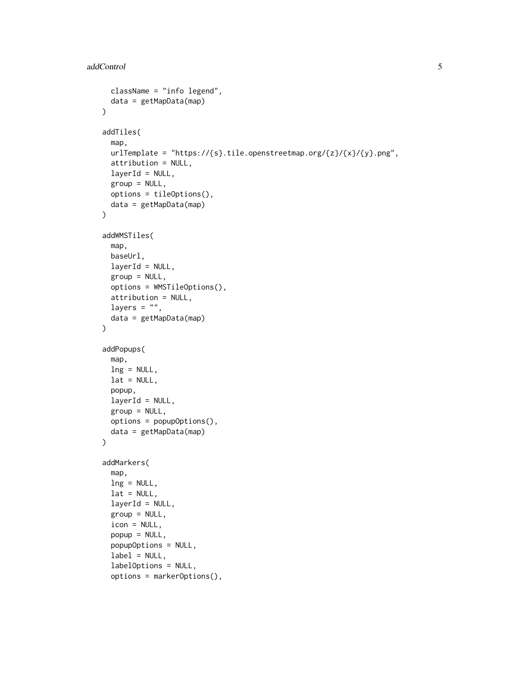```
className = "info legend",
 data = getMapData(map)
\lambdaaddTiles(
  map,
 urlTemplate = "https://{s}.tile.openstreetmap.org/{z}/{x}/{y}.png",
  attribution = NULL,
  layerId = NULL,group = NULL,options = tileOptions(),
  data = getMapData(map)
\mathcal{L}addWMSTiles(
  map,
 baseUrl,
  layerId = NULL,group = NULL,
  options = WMSTileOptions(),
  attribution = NULL,
  layers = ",
  data = getMapData(map)
\mathcal{L}addPopups(
  map,
  lng = NULL,
  lat = NULL,popup,
  layerId = NULL,group = NULL,options = popupOptions(),
  data = getMapData(map)
\mathcal{L}addMarkers(
 map,
  ln g = NULL,lat = NULL,layerId = NULL,group = NULL,
  icon = NULL,
  popup = NULL,popupOptions = NULL,
  label = NULL,labelOptions = NULL,
  options = markerOptions(),
```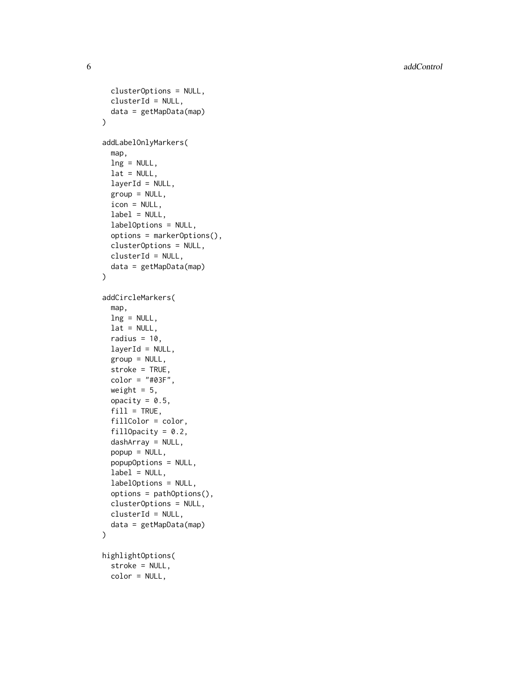**6** addControl and the control of the control and the control and control and control and control and control and control and control and control and control and control and control and control and control and control and

```
clusterOptions = NULL,
  clusterId = NULL,
  data = getMapData(map)
\lambdaaddLabelOnlyMarkers(
  map,
  lng = NULL,
  lat = NULL,layerId = NULL,group = NULL,
  icon = NULL,
  label = NULL,labelOptions = NULL,
  options = markerOptions(),
  clusterOptions = NULL,
  clusterId = NULL,
  data = getMapData(map)
\mathcal{L}addCircleMarkers(
  map,
  lng = NULL,
  lat = NULL,radius = 10,
  layerId = NULL,group = NULL,stroke = TRUE,
  color = "#03F",weight = 5,
  opacity = 0.5,
  fill = TRUE,fillColor = color,
  fillOpacity = 0.2,
  dashArray = NULL,
  popup = NULL,
  popupOptions = NULL,
  label = NULL,labelOptions = NULL,
  options = pathOptions(),
  clusterOptions = NULL,
  clusterId = NULL,
  data = getMapData(map)
)
highlightOptions(
  stroke = NULL,
  color = NULL,
```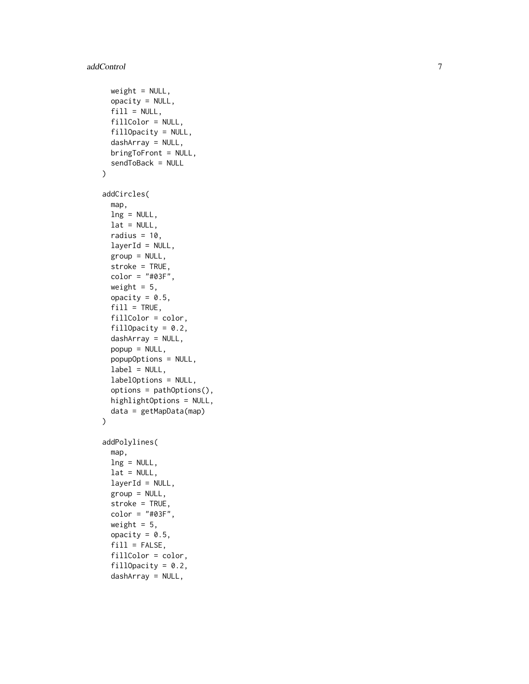```
weight = NULL,opacity = NULL,
  fill = NULL,fillColor = NULL,
  fillOpacity = NULL,
  dashArray = NULL,
 bringToFront = NULL,
  sendToBack = NULL
\lambdaaddCircles(
 map,
 lng = NULL,
 lat = NULL,radius = 10,
  layerId = NULL,group = NULL,
  stroke = TRUE,
 color = "#03F",weight = 5,
 opacity = 0.5,
  fill = TRUE,fillColor = color,
  fillOpacity = 0.2,
  dashArray = NULL,
 popup = NULL,popupOptions = NULL,
  label = NULL,labelOptions = NULL,
  options = pathOptions(),
 highlightOptions = NULL,
 data = getMapData(map)
\mathcal{L}addPolylines(
 map,
  ln g = NULL,
  lat = NULL,layerId = NULL,group = NULL,
  stroke = TRUE,
  color = "#03F",weight = 5,
  opacity = 0.5,
  fill = FALSE,fillColor = color,
  fillOpacity = 0.2,
  dashArray = NULL,
```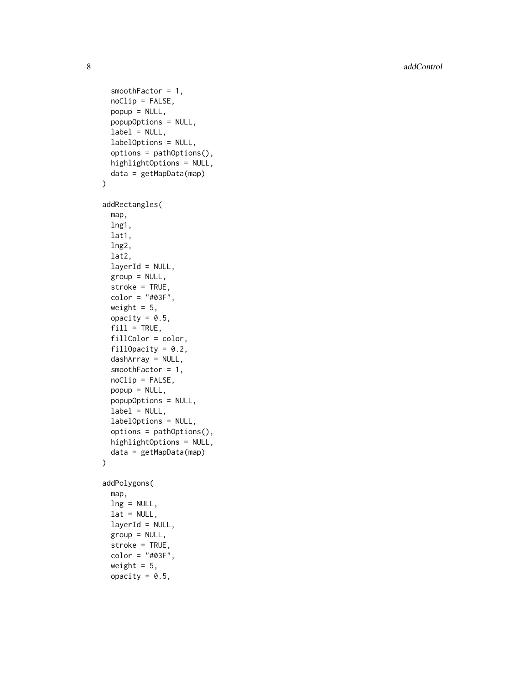8 addControl and the control of the control of the control and control and control and control and control and control and control and control and control and control and control and control and control and control and con

```
smoothFactor = 1,
  noClip = FALSE,
 popup = NULL,
 popupOptions = NULL,
  label = NULL,labelOptions = NULL,
  options = pathOptions(),
 highlightOptions = NULL,
  data = getMapData(map)
\mathcal{L}addRectangles(
 map,
  lng1,
  lat1,
  lng2,
  lat2,
  layerId = NULL,group = NULL,
  stroke = TRUE,
  color = "#03F",
 weight = 5,
  opacity = 0.5,
  fill = TRUE,fillColor = color,
  fillOpacity = 0.2,
  dashArray = NULL,
  smoothFactor = 1,
  noClip = FALSE,
 popup = NULL,
 popupOptions = NULL,
  label = NULL,labelOptions = NULL,
  options = pathOptions(),
 highlightOptions = NULL,
 data = getMapData(map)
\lambdaaddPolygons(
  map,
  ln g = NULL,lat = NULL,layerId = NULL,group = NULL,stroke = TRUE,
  color = "#03F",
 weight = 5,
 opacity = 0.5,
```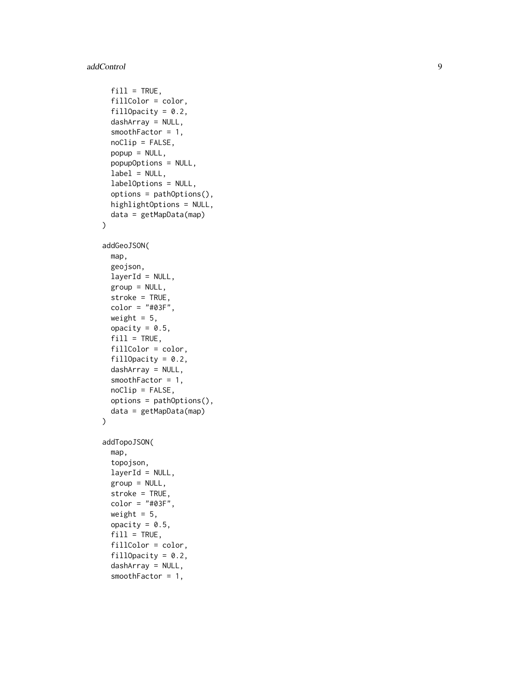## addControl

```
fill = TRUE,fillColor = color,
  fillOpacity = 0.2,
  dashArray = NULL,
  smoothFactor = 1,
  noClip = FALSE,
 popup = NULL,
 popupOptions = NULL,
  label = NULL,labelOptions = NULL,
  options = pathOptions(),
 highlightOptions = NULL,
 data = getMapData(map)
)
addGeoJSON(
 map,
  geojson,
 layerId = NULL,group = NULL,stroke = TRUE,
  color = "#03F",weight = 5,
  opacity = 0.5,
  fill = TRUE,fillColor = color,
  fillOpacity = 0.2,
  dashArray = NULL,
  smoothFactor = 1,
 noClip = FALSE,options = pathOptions(),
 data = getMapData(map)
\mathcal{L}addTopoJSON(
 map,
  topojson,
  layerId = NULL,group = NULL,stroke = TRUE,
  color = "#03F",weight = 5,
 opacity = 0.5,
  fill = TRUE,fillColor = color,
  fillOpacity = 0.2,
  dashArray = NULL,
  smoothFactor = 1,
```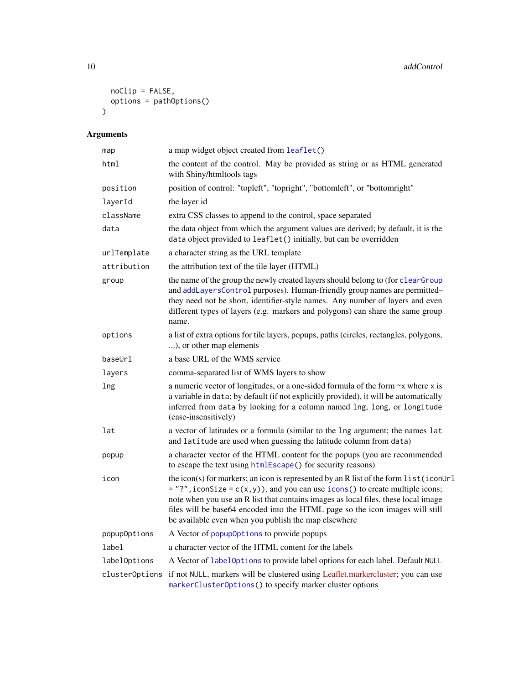```
noClip = FALSE,
  options = pathOptions()
\lambda
```

| map          | a map widget object created from leaflet()                                                                                                                                                                                                                                                                                                                                                               |
|--------------|----------------------------------------------------------------------------------------------------------------------------------------------------------------------------------------------------------------------------------------------------------------------------------------------------------------------------------------------------------------------------------------------------------|
| html         | the content of the control. May be provided as string or as HTML generated<br>with Shiny/htmltools tags                                                                                                                                                                                                                                                                                                  |
| position     | position of control: "topleft", "topright", "bottomleft", or "bottomright"                                                                                                                                                                                                                                                                                                                               |
| layerId      | the layer id                                                                                                                                                                                                                                                                                                                                                                                             |
| className    | extra CSS classes to append to the control, space separated                                                                                                                                                                                                                                                                                                                                              |
| data         | the data object from which the argument values are derived; by default, it is the<br>data object provided to leaflet() initially, but can be overridden                                                                                                                                                                                                                                                  |
| urlTemplate  | a character string as the URL template                                                                                                                                                                                                                                                                                                                                                                   |
| attribution  | the attribution text of the tile layer (HTML)                                                                                                                                                                                                                                                                                                                                                            |
| group        | the name of the group the newly created layers should belong to (for clearGroup<br>and addLayersControl purposes). Human-friendly group names are permitted-<br>they need not be short, identifier-style names. Any number of layers and even<br>different types of layers (e.g. markers and polygons) can share the same group<br>name.                                                                 |
| options      | a list of extra options for tile layers, popups, paths (circles, rectangles, polygons,<br>), or other map elements                                                                                                                                                                                                                                                                                       |
| baseUrl      | a base URL of the WMS service                                                                                                                                                                                                                                                                                                                                                                            |
| layers       | comma-separated list of WMS layers to show                                                                                                                                                                                                                                                                                                                                                               |
| lng          | a numeric vector of longitudes, or a one-sided formula of the form $\sim$ x where x is<br>a variable in data; by default (if not explicitly provided), it will be automatically<br>inferred from data by looking for a column named lng, long, or longitude<br>(case-insensitively)                                                                                                                      |
| lat          | a vector of latitudes or a formula (similar to the lng argument; the names lat<br>and latitude are used when guessing the latitude column from data)                                                                                                                                                                                                                                                     |
| popup        | a character vector of the HTML content for the popups (you are recommended<br>to escape the text using htmlEscape() for security reasons)                                                                                                                                                                                                                                                                |
| icon         | the icon(s) for markers; an icon is represented by an R list of the form list (iconUrl<br>$=$ "?", iconSize = c(x, y)), and you can use icons() to create multiple icons;<br>note when you use an R list that contains images as local files, these local image<br>files will be base64 encoded into the HTML page so the icon images will still<br>be available even when you publish the map elsewhere |
| popupOptions | A Vector of popup0ptions to provide popups                                                                                                                                                                                                                                                                                                                                                               |
| label        | a character vector of the HTML content for the labels                                                                                                                                                                                                                                                                                                                                                    |
| labelOptions | A Vector of labelOptions to provide label options for each label. Default NULL                                                                                                                                                                                                                                                                                                                           |
|              | cluster0ptions if not NULL, markers will be clustered using Leaflet.markercluster; you can use<br>markerClusterOptions() to specify marker cluster options                                                                                                                                                                                                                                               |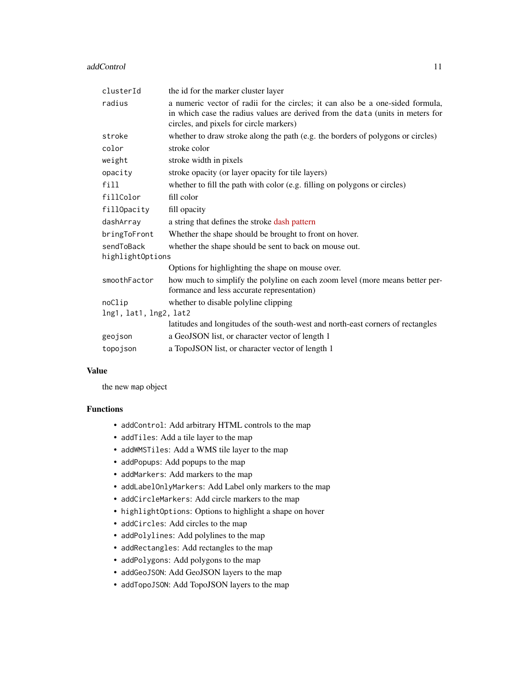#### addControl 11

| clusterId              | the id for the marker cluster layer                                                                                                                                                                         |
|------------------------|-------------------------------------------------------------------------------------------------------------------------------------------------------------------------------------------------------------|
| radius                 | a numeric vector of radii for the circles; it can also be a one-sided formula,<br>in which case the radius values are derived from the data (units in meters for<br>circles, and pixels for circle markers) |
| stroke                 | whether to draw stroke along the path (e.g. the borders of polygons or circles)                                                                                                                             |
| color                  | stroke color                                                                                                                                                                                                |
| weight                 | stroke width in pixels                                                                                                                                                                                      |
| opacity                | stroke opacity (or layer opacity for tile layers)                                                                                                                                                           |
| fill                   | whether to fill the path with color (e.g. filling on polygons or circles)                                                                                                                                   |
| fillColor              | fill color                                                                                                                                                                                                  |
| fillOpacity            | fill opacity                                                                                                                                                                                                |
| dashArray              | a string that defines the stroke dash pattern                                                                                                                                                               |
| bringToFront           | Whether the shape should be brought to front on hover.                                                                                                                                                      |
| sendToBack             | whether the shape should be sent to back on mouse out.                                                                                                                                                      |
| highlightOptions       |                                                                                                                                                                                                             |
|                        | Options for highlighting the shape on mouse over.                                                                                                                                                           |
| smoothFactor           | how much to simplify the polyline on each zoom level (more means better per-<br>formance and less accurate representation)                                                                                  |
| noClip                 | whether to disable polyline clipping                                                                                                                                                                        |
| lng1, lat1, lng2, lat2 |                                                                                                                                                                                                             |
|                        | latitudes and longitudes of the south-west and north-east corners of rectangles                                                                                                                             |
| geojson                | a GeoJSON list, or character vector of length 1                                                                                                                                                             |
| topojson               | a TopoJSON list, or character vector of length 1                                                                                                                                                            |
|                        |                                                                                                                                                                                                             |

## Value

the new map object

## Functions

- addControl: Add arbitrary HTML controls to the map
- addTiles: Add a tile layer to the map
- addWMSTiles: Add a WMS tile layer to the map
- addPopups: Add popups to the map
- addMarkers: Add markers to the map
- addLabelOnlyMarkers: Add Label only markers to the map
- addCircleMarkers: Add circle markers to the map
- highlightOptions: Options to highlight a shape on hover
- addCircles: Add circles to the map
- addPolylines: Add polylines to the map
- addRectangles: Add rectangles to the map
- addPolygons: Add polygons to the map
- addGeoJSON: Add GeoJSON layers to the map
- addTopoJSON: Add TopoJSON layers to the map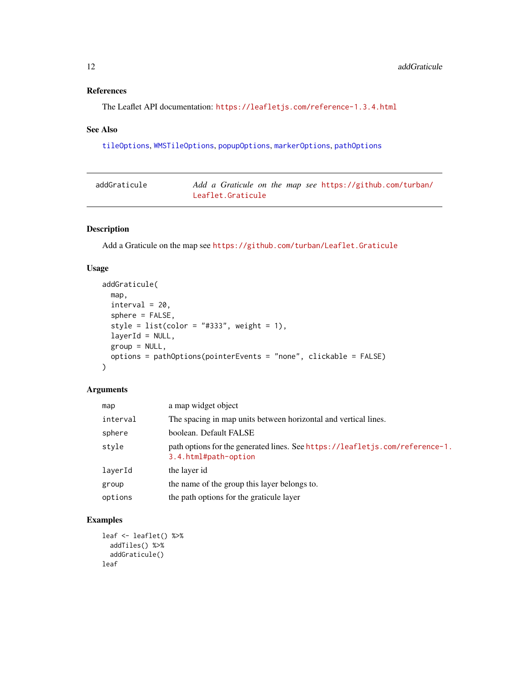## <span id="page-11-0"></span>References

The Leaflet API documentation: <https://leafletjs.com/reference-1.3.4.html>

## See Also

[tileOptions](#page-59-2), [WMSTileOptions](#page-59-1), [popupOptions](#page-59-1), [markerOptions](#page-59-1), [pathOptions](#page-59-1)

| addGraticule | Add a Graticule on the map see https://github.com/turban/ |
|--------------|-----------------------------------------------------------|
|              | Leaflet.Graticule                                         |

## Description

Add a Graticule on the map see <https://github.com/turban/Leaflet.Graticule>

## Usage

```
addGraticule(
 map,
  interval = 20,
  sphere = FALSE,
  style = list(color = "#333", weight = 1),layerId = NULL,group = NULL,
 options = pathOptions(pointerEvents = "none", clickable = FALSE)
\mathcal{L}
```
## Arguments

| map      | a map widget object                                                                                  |
|----------|------------------------------------------------------------------------------------------------------|
| interval | The spacing in map units between horizontal and vertical lines.                                      |
| sphere   | boolean. Default FALSE                                                                               |
| style    | path options for the generated lines. See https://leafletjs.com/reference-1.<br>3.4.html#path-option |
| layerId  | the layer id                                                                                         |
| group    | the name of the group this layer belongs to.                                                         |
| options  | the path options for the graticule layer                                                             |

## Examples

```
leaf <- leaflet() %>%
 addTiles() %>%
 addGraticule()
leaf
```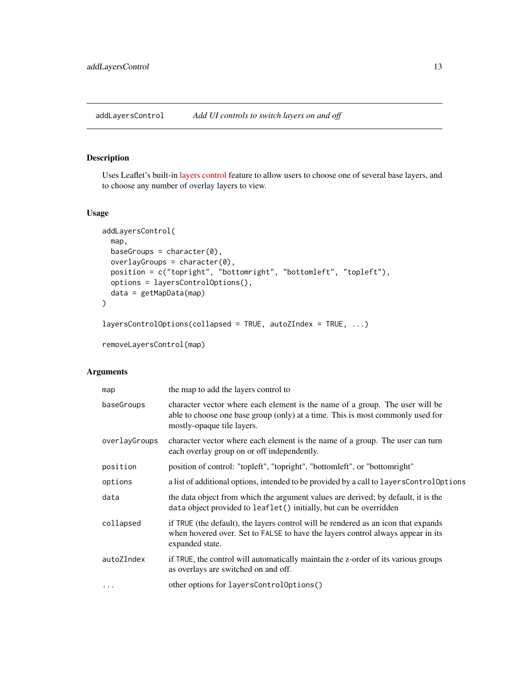<span id="page-12-1"></span><span id="page-12-0"></span>addLayersControl *Add UI controls to switch layers on and off*

## Description

Uses Leaflet's built-in [layers control](https://leafletjs.com/reference-1.3.4.html#control-layers) feature to allow users to choose one of several base layers, and to choose any number of overlay layers to view.

## Usage

```
addLayersControl(
 map,
 baseGroups = character(0),
 overlayGroups = character(0),
 position = c("topright", "bottomright", "bottomleft", "topleft"),
 options = layersControlOptions(),
 data = getMapData(map)
)
layersControlOptions(collapsed = TRUE, autoZIndex = TRUE, ...)
removeLayersControl(map)
```

| map           | the map to add the layers control to                                                                                                                                                         |
|---------------|----------------------------------------------------------------------------------------------------------------------------------------------------------------------------------------------|
| baseGroups    | character vector where each element is the name of a group. The user will be<br>able to choose one base group (only) at a time. This is most commonly used for<br>mostly-opaque tile layers. |
| overlayGroups | character vector where each element is the name of a group. The user can turn<br>each overlay group on or off independently.                                                                 |
| position      | position of control: "topleft", "topright", "bottomleft", or "bottomright"                                                                                                                   |
| options       | a list of additional options, intended to be provided by a call to layers Control Options                                                                                                    |
| data          | the data object from which the argument values are derived; by default, it is the<br>data object provided to leaflet () initially, but can be overridden                                     |
| collapsed     | if TRUE (the default), the layers control will be rendered as an icon that expands<br>when hovered over. Set to FALSE to have the layers control always appear in its<br>expanded state.     |
| autoZIndex    | if TRUE, the control will automatically maintain the z-order of its various groups<br>as overlays are switched on and off.                                                                   |
| $\ddotsc$     | other options for layersControlOptions()                                                                                                                                                     |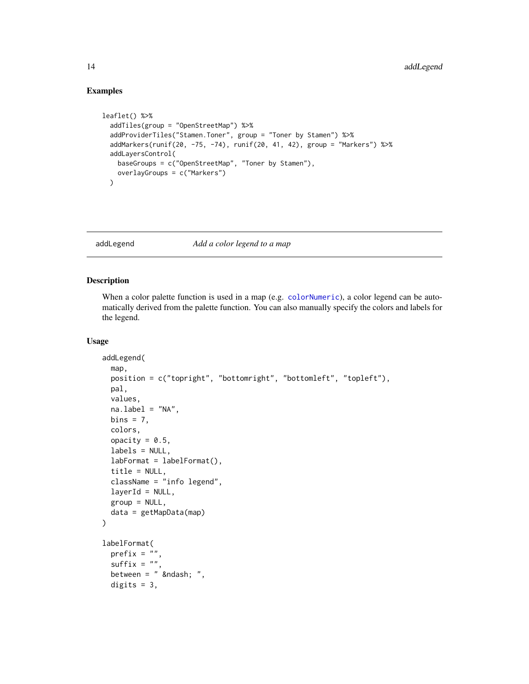## Examples

```
leaflet() %>%
 addTiles(group = "OpenStreetMap") %>%
 addProviderTiles("Stamen.Toner", group = "Toner by Stamen") %>%
 addMarkers(runif(20, -75, -74), runif(20, 41, 42), group = "Markers") %>%
 addLayersControl(
   baseGroups = c("OpenStreetMap", "Toner by Stamen"),
   overlayGroups = c("Markers")
 \lambda
```
#### addLegend *Add a color legend to a map*

## Description

When a color palette function is used in a map (e.g. [colorNumeric](#page-29-1)), a color legend can be automatically derived from the palette function. You can also manually specify the colors and labels for the legend.

#### Usage

```
addLegend(
  map,
  position = c("topright", "bottomright", "bottomleft", "topleft"),
 pal,
  values,
  na.label = "NA",bins = 7,
  colors,
  opacity = 0.5,
  labels = NULL,
  labFormat = labelFormat(),
  title = NULL,
  className = "info legend",
  layerId = NULL,group = NULL,data = getMapData(map)
\mathcal{L}labelFormat(
 prefix = ",
  suffix = ".
  between = " – ",
  digits = 3,
```
<span id="page-13-0"></span>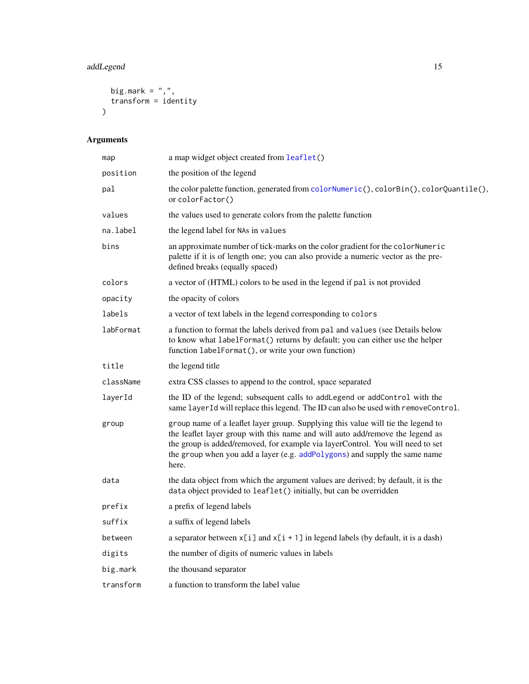# <span id="page-14-0"></span>addLegend 15

```
big.mark = ",",transform = identity
\overline{)}
```

| map       | a map widget object created from leaflet()                                                                                                                                                                                                                                                                                                 |
|-----------|--------------------------------------------------------------------------------------------------------------------------------------------------------------------------------------------------------------------------------------------------------------------------------------------------------------------------------------------|
| position  | the position of the legend                                                                                                                                                                                                                                                                                                                 |
| pal       | the color palette function, generated from colorNumeric(), colorBin(), colorQuantile(),<br>or colorFactor()                                                                                                                                                                                                                                |
| values    | the values used to generate colors from the palette function                                                                                                                                                                                                                                                                               |
| na.label  | the legend label for NAs in values                                                                                                                                                                                                                                                                                                         |
| bins      | an approximate number of tick-marks on the color gradient for the color Numeric<br>palette if it is of length one; you can also provide a numeric vector as the pre-<br>defined breaks (equally spaced)                                                                                                                                    |
| colors    | a vector of (HTML) colors to be used in the legend if pal is not provided                                                                                                                                                                                                                                                                  |
| opacity   | the opacity of colors                                                                                                                                                                                                                                                                                                                      |
| labels    | a vector of text labels in the legend corresponding to colors                                                                                                                                                                                                                                                                              |
| labFormat | a function to format the labels derived from pal and values (see Details below<br>to know what labelFormat() returns by default; you can either use the helper<br>function labelFormat(), or write your own function)                                                                                                                      |
| title     | the legend title                                                                                                                                                                                                                                                                                                                           |
| className | extra CSS classes to append to the control, space separated                                                                                                                                                                                                                                                                                |
| layerId   | the ID of the legend; subsequent calls to addLegend or addControl with the<br>same layer Id will replace this legend. The ID can also be used with removeControl.                                                                                                                                                                          |
| group     | group name of a leaflet layer group. Supplying this value will tie the legend to<br>the leaflet layer group with this name and will auto add/remove the legend as<br>the group is added/removed, for example via layerControl. You will need to set<br>the group when you add a layer (e.g. addPolygons) and supply the same name<br>here. |
| data      | the data object from which the argument values are derived; by default, it is the<br>data object provided to leaflet() initially, but can be overridden                                                                                                                                                                                    |
| prefix    | a prefix of legend labels                                                                                                                                                                                                                                                                                                                  |
| suffix    | a suffix of legend labels                                                                                                                                                                                                                                                                                                                  |
| between   | a separator between $x[i]$ and $x[i + 1]$ in legend labels (by default, it is a dash)                                                                                                                                                                                                                                                      |
| digits    | the number of digits of numeric values in labels                                                                                                                                                                                                                                                                                           |
| big.mark  | the thousand separator                                                                                                                                                                                                                                                                                                                     |
| transform | a function to transform the label value                                                                                                                                                                                                                                                                                                    |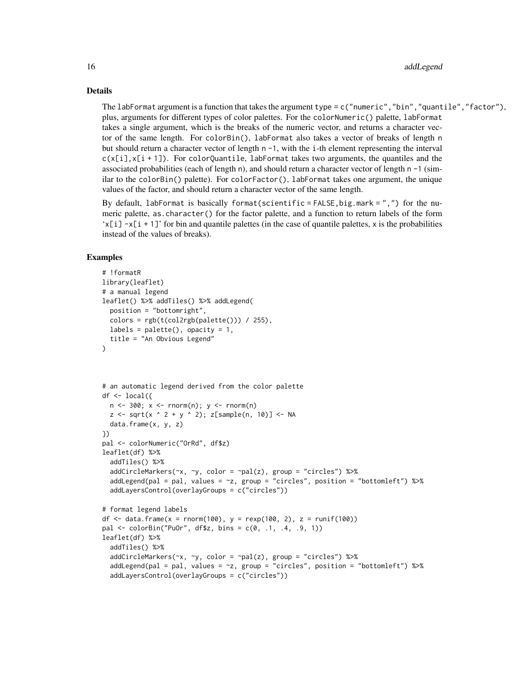Details

The labFormat argument is a function that takes the argument type = c("numeric","bin","quantile","factor"), plus, arguments for different types of color palettes. For the colorNumeric() palette, labFormat takes a single argument, which is the breaks of the numeric vector, and returns a character vector of the same length. For colorBin(), labFormat also takes a vector of breaks of length n but should return a character vector of length  $n - 1$ , with the i-th element representing the interval  $c(x[i], x[i + 1])$ . For colorQuantile, labFormat takes two arguments, the quantiles and the associated probabilities (each of length n), and should return a character vector of length  $n - 1$  (similar to the colorBin() palette). For colorFactor(), labFormat takes one argument, the unique values of the factor, and should return a character vector of the same length.

By default, labFormat is basically format(scientific = FALSE,big.mark = ",") for the numeric palette, as.character() for the factor palette, and a function to return labels of the form  $x[i] -x[i + 1]$  for bin and quantile palettes (in the case of quantile palettes, x is the probabilities instead of the values of breaks).

#### Examples

```
# !formatR
library(leaflet)
# a manual legend
leaflet() %>% addTiles() %>% addLegend(
  position = "bottomright",
  colors = rgb(t(col2rgb(palette))) / 255),labels = palette(), opacity = 1,
  title = "An Obvious Legend"
)
# an automatic legend derived from the color palette
df \le local({
  n \le -300; x \le -rnorm(n); y \le -rnorm(n)z \leq -sqrt(x \land 2 + y \land 2); z[sample(n, 10)] \leq NA
  data.frame(x, y, z)
})
pal <- colorNumeric("OrRd", df$z)
leaflet(df) %>%
  addTiles() %>%
  addCircleMarkers(\sim x, \sim y, color = \simpal(z), group = "circles") %>%
  addLegend(pal = pal, values = \simz, group = "circles", position = "bottomleft") %>%
  addLayersControl(overlayGroups = c("circles"))
# format legend labels
df <- data.frame(x = rnorm(100), y = rexp(100, 2), z = runif(100))
pal \leq colorBin("Pu0r", df $z, bins = c(0, .1, .4, .9, 1))leaflet(df) %>%
  addTiles() %>%
  addCircleMarkers(~x, ~y, color = ~pal(z), group = "circles") %>%
  addLegend(pal = pal, values = -z, group = "circles", position = "bottomleft") %>%
  addLayersControl(overlayGroups = c("circles"))
```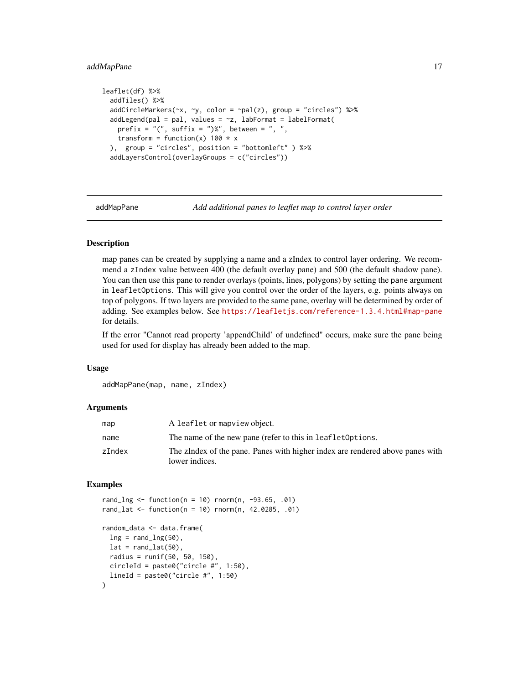## <span id="page-16-0"></span>addMapPane 17

```
leaflet(df) %>%
 addTiles() %>%
 addCircleMarkers(~x, ~y, color = ~pal(z), group = "circles") %>%
 addLegend(pal = pal, values = z, labFormat = labelFormat(prefix = "(", suffix = ")\", between = ", "transform = function(x) 100 \times x), group = "circles", position = "bottomleft" ) %>%
 addLayersControl(overlayGroups = c("circles"))
```
addMapPane *Add additional panes to leaflet map to control layer order*

#### **Description**

map panes can be created by supplying a name and a zIndex to control layer ordering. We recommend a zIndex value between 400 (the default overlay pane) and 500 (the default shadow pane). You can then use this pane to render overlays (points, lines, polygons) by setting the pane argument in leafletOptions. This will give you control over the order of the layers, e.g. points always on top of polygons. If two layers are provided to the same pane, overlay will be determined by order of adding. See examples below. See <https://leafletjs.com/reference-1.3.4.html#map-pane> for details.

If the error "Cannot read property 'appendChild' of undefined" occurs, make sure the pane being used for used for display has already been added to the map.

#### Usage

```
addMapPane(map, name, zIndex)
```
#### Arguments

| map    | A leaflet or mapview object.                                                                    |
|--------|-------------------------------------------------------------------------------------------------|
| name   | The name of the new pane (refer to this in leaflet Options.                                     |
| zIndex | The zIndex of the pane. Panes with higher index are rendered above panes with<br>lower indices. |

## Examples

```
rand_lng <- function(n = 10) rnorm(n, -93.65, .01)
rand_lat <- function(n = 10) rnorm(n, 42.0285, .01)random_data <- data.frame(
 ln g = rand_{log(50)},
 lat = rand\_lat(50),
 radius = runif(50, 50, 150),
 circleId = paste0("circle #", 1:50),
 lineId = paste0("circle #", 1:50))
```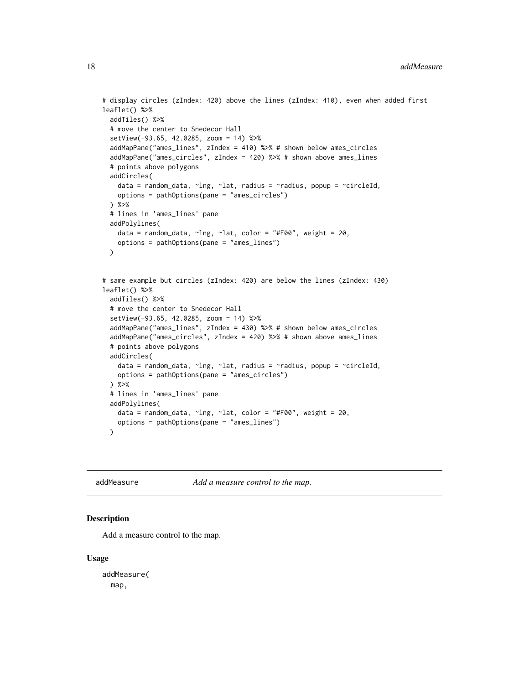```
# display circles (zIndex: 420) above the lines (zIndex: 410), even when added first
leaflet() %>%
  addTiles() %>%
  # move the center to Snedecor Hall
  setView(-93.65, 42.0285, zoom = 14) %>%
  addMapPane("ames_lines", zIndex = 410) %>% # shown below ames_circles
  addMapPane("ames_circles", zIndex = 420) %>% # shown above ames_lines
  # points above polygons
  addCircles(
    data = random_data, ~lng, ~lat, radius = ~radius, popup = ~circleId,
    options = pathOptions(pane = "ames_circles")
  ) %>%
  # lines in 'ames_lines' pane
  addPolylines(
    data = random_data, ~lng, ~lat, color = "#F00", weight = 20,
   options = pathOptions(pane = "ames_lines")
  )
# same example but circles (zIndex: 420) are below the lines (zIndex: 430)
leaflet() %>%
  addTiles() %>%
  # move the center to Snedecor Hall
  setView(-93.65, 42.0285, zoom = 14) %>%
  addMapPane("ames_lines", zIndex = 430) %>% # shown below ames_circles
  addMapPane("ames_circles", zIndex = 420) %>% # shown above ames_lines
  # points above polygons
  addCircles(
   data = random_data, ~lng, ~lat, radius = ~radius, popup = ~circleId,
   options = pathOptions(pane = "ames_circles")
  ) %>%
  # lines in 'ames_lines' pane
  addPolylines(
   data = random_data, \simlng, \simlat, color = "#F00", weight = 20,
   options = pathOptions(pane = "ames_lines")
  \lambda
```
addMeasure *Add a measure control to the map.*

## **Description**

Add a measure control to the map.

#### Usage

addMeasure( map,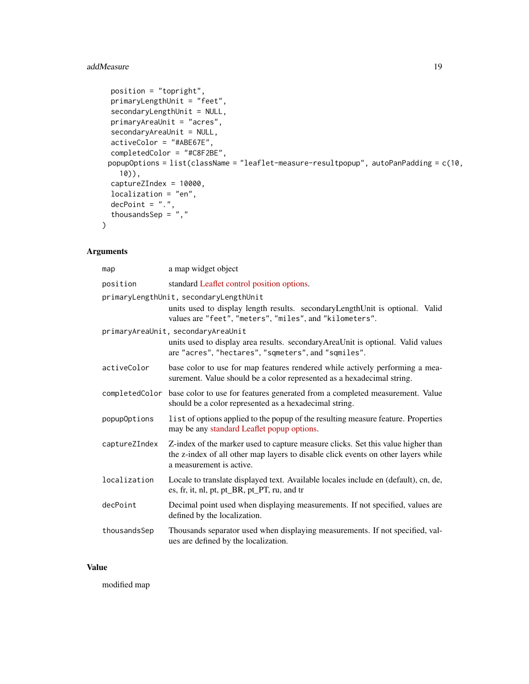## addMeasure 19

```
position = "topright",
 primaryLengthUnit = "feet",
 secondaryLengthUnit = NULL,
 primaryAreaUnit = "acres",
 secondaryAreaUnit = NULL,
 activeColor = "#ABE67E",
 completedColor = "#C8F2BE",
 popupOptions = list(className = "leaflet-measure-resultpopup", autoPanPadding = c(10,
   10)),
 captureZIndex = 10000,
 localization = "en",
 decPoint = "."thousandsSep = ","
)
```
## Arguments

| map           | a map widget object                                                                                                                                                                               |
|---------------|---------------------------------------------------------------------------------------------------------------------------------------------------------------------------------------------------|
| position      | standard Leaflet control position options.                                                                                                                                                        |
|               | primaryLengthUnit, secondaryLengthUnit<br>units used to display length results. secondaryLengthUnit is optional. Valid<br>values are "feet", "meters", "miles", and "kilometers".                 |
|               | primaryAreaUnit, secondaryAreaUnit                                                                                                                                                                |
|               | units used to display area results. secondaryAreaUnit is optional. Valid values<br>are "acres", "hectares", "sqmeters", and "sqmiles".                                                            |
| activeColor   | base color to use for map features rendered while actively performing a mea-<br>surement. Value should be a color represented as a hexadecimal string.                                            |
|               | completedColor base color to use for features generated from a completed measurement. Value<br>should be a color represented as a hexadecimal string.                                             |
| popupOptions  | list of options applied to the popup of the resulting measure feature. Properties<br>may be any standard Leaflet popup options.                                                                   |
| captureZIndex | Z-index of the marker used to capture measure clicks. Set this value higher than<br>the z-index of all other map layers to disable click events on other layers while<br>a measurement is active. |
| localization  | Locale to translate displayed text. Available locales include en (default), cn, de,<br>es, fr, it, nl, pt, pt_BR, pt_PT, ru, and tr                                                               |
| decPoint      | Decimal point used when displaying measurements. If not specified, values are<br>defined by the localization.                                                                                     |
| thousandsSep  | Thousands separator used when displaying measurements. If not specified, val-<br>ues are defined by the localization.                                                                             |

#### Value

modified map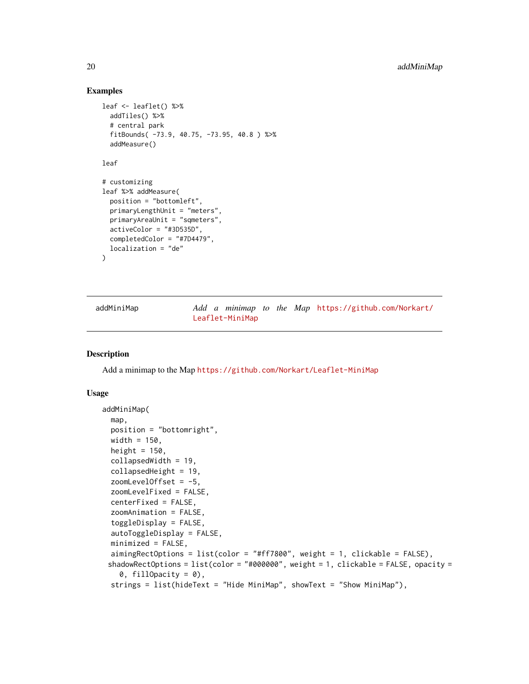## Examples

```
leaf <- leaflet() %>%
  addTiles() %>%
  # central park
  fitBounds( -73.9, 40.75, -73.95, 40.8 ) %>%
  addMeasure()
leaf
# customizing
leaf %>% addMeasure(
  position = "bottomleft",
  primaryLengthUnit = "meters",
  primaryAreaUnit = "sqmeters",
  activeColor = "#3D535D",
  completedColor = "#7D4479",
  localization = "de"
\mathcal{L}
```
addMiniMap *Add a minimap to the Map* [https://github.com/Norkart/](https://github.com/Norkart/Leaflet-MiniMap) [Leaflet-MiniMap](https://github.com/Norkart/Leaflet-MiniMap)

#### Description

Add a minimap to the Map <https://github.com/Norkart/Leaflet-MiniMap>

#### Usage

```
addMiniMap(
 map,
 position = "bottomright",
 width = 150,
  height = 150,
  collapsedWidth = 19,
  collapsedHeight = 19,
  zoomLevelOffset = -5,
  zoomLevelFixed = FALSE,
  centerFixed = FALSE,
  zoomAnimation = FALSE,
  toggleDisplay = FALSE,
  autoToggleDisplay = FALSE,
 minimized = FALSE,
  aimingRectOptions = list(color = "#ff7800", weight = 1, clickable = FALSE),
 shadowRectOptions = list(color = "#000000", weight = 1, clickable = FALSE, opacity =
    0, fillOpacity = 0),
  strings = list(hideText = "Hide MiniMap", showText = "Show MiniMap"),
```
<span id="page-19-0"></span>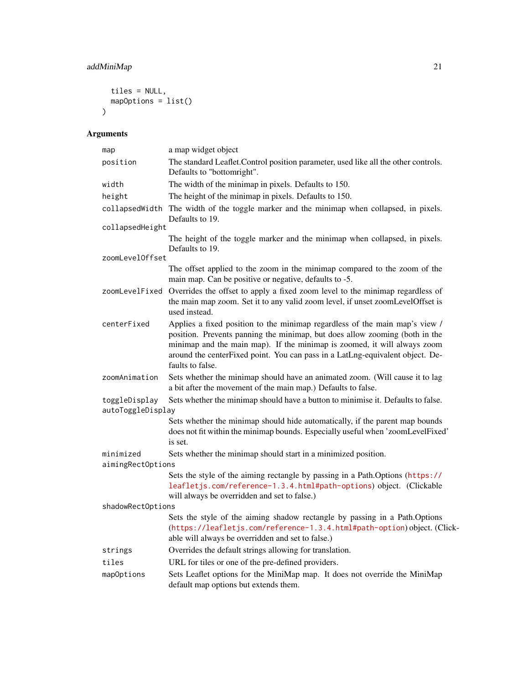## addMiniMap 21

```
tiles = NULL,
  mapOptions = list()
\mathcal{L}
```

| map                                | a map widget object                                                                                                                                                                                                                                                                                                                         |
|------------------------------------|---------------------------------------------------------------------------------------------------------------------------------------------------------------------------------------------------------------------------------------------------------------------------------------------------------------------------------------------|
| position                           | The standard Leaflet. Control position parameter, used like all the other controls.<br>Defaults to "bottomright".                                                                                                                                                                                                                           |
| width                              | The width of the minimap in pixels. Defaults to 150.                                                                                                                                                                                                                                                                                        |
| height                             | The height of the minimap in pixels. Defaults to 150.                                                                                                                                                                                                                                                                                       |
| collapsedWidth                     | The width of the toggle marker and the minimap when collapsed, in pixels.<br>Defaults to 19.                                                                                                                                                                                                                                                |
| collapsedHeight                    |                                                                                                                                                                                                                                                                                                                                             |
|                                    | The height of the toggle marker and the minimap when collapsed, in pixels.<br>Defaults to 19.                                                                                                                                                                                                                                               |
| zoomLevelOffset                    |                                                                                                                                                                                                                                                                                                                                             |
|                                    | The offset applied to the zoom in the minimap compared to the zoom of the<br>main map. Can be positive or negative, defaults to -5.                                                                                                                                                                                                         |
|                                    | zoomLevelFixed Overrides the offset to apply a fixed zoom level to the minimap regardless of<br>the main map zoom. Set it to any valid zoom level, if unset zoomLevelOffset is<br>used instead.                                                                                                                                             |
| centerFixed                        | Applies a fixed position to the minimap regardless of the main map's view /<br>position. Prevents panning the minimap, but does allow zooming (both in the<br>minimap and the main map). If the minimap is zoomed, it will always zoom<br>around the centerFixed point. You can pass in a LatLng-equivalent object. De-<br>faults to false. |
| zoomAnimation                      | Sets whether the minimap should have an animated zoom. (Will cause it to lag<br>a bit after the movement of the main map.) Defaults to false.                                                                                                                                                                                               |
| toggleDisplay<br>autoToggleDisplay | Sets whether the minimap should have a button to minimise it. Defaults to false.                                                                                                                                                                                                                                                            |
|                                    | Sets whether the minimap should hide automatically, if the parent map bounds<br>does not fit within the minimap bounds. Especially useful when 'zoomLevelFixed'<br>is set.                                                                                                                                                                  |
| minimized                          | Sets whether the minimap should start in a minimized position.                                                                                                                                                                                                                                                                              |
| aimingRectOptions                  |                                                                                                                                                                                                                                                                                                                                             |
|                                    | Sets the style of the aiming rectangle by passing in a Path. Options (https://<br>leafletjs.com/reference-1.3.4.html#path-options) object. (Clickable<br>will always be overridden and set to false.)                                                                                                                                       |
| shadowRectOptions                  |                                                                                                                                                                                                                                                                                                                                             |
|                                    | Sets the style of the aiming shadow rectangle by passing in a Path. Options<br>(https://leafletjs.com/reference-1.3.4.html#path-option) object. (Click-<br>able will always be overridden and set to false.)                                                                                                                                |
| strings                            | Overrides the default strings allowing for translation.                                                                                                                                                                                                                                                                                     |
| tiles                              | URL for tiles or one of the pre-defined providers.                                                                                                                                                                                                                                                                                          |
| mapOptions                         | Sets Leaflet options for the MiniMap map. It does not override the MiniMap<br>default map options but extends them.                                                                                                                                                                                                                         |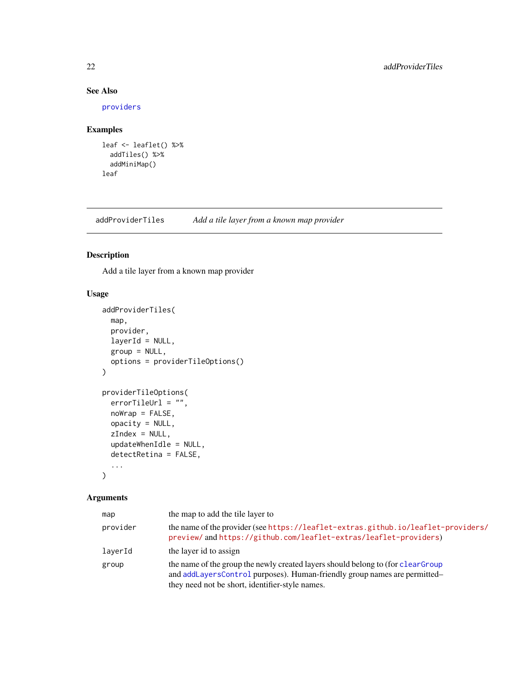## See Also

[providers](#page-55-1)

## Examples

```
leaf <- leaflet() %>%
  addTiles() %>%
  addMiniMap()
leaf
```
addProviderTiles *Add a tile layer from a known map provider*

#### Description

Add a tile layer from a known map provider

## Usage

```
addProviderTiles(
 map,
 provider,
 layerId = NULL,group = NULL,options = providerTileOptions()
\lambdaproviderTileOptions(
 errorTileUrl = "",
 nowrap = FALSE,opacity = NULL,
 zIndex = NULL,
  updateWhenIdle = NULL,
  detectRetina = FALSE,
  ...
\mathcal{L}
```

| map      | the map to add the tile layer to                                                                                                                                                                                 |
|----------|------------------------------------------------------------------------------------------------------------------------------------------------------------------------------------------------------------------|
| provider | the name of the provider (see https://leaflet-extras.github.io/leaflet-providers/<br>preview/andhttps://github.com/leaflet-extras/leaflet-providers)                                                             |
| layerId  | the layer id to assign                                                                                                                                                                                           |
| group    | the name of the group the newly created layers should belong to (for clear Group<br>and addLayersControl purposes). Human-friendly group names are permitted-<br>they need not be short, identifier-style names. |

<span id="page-21-0"></span>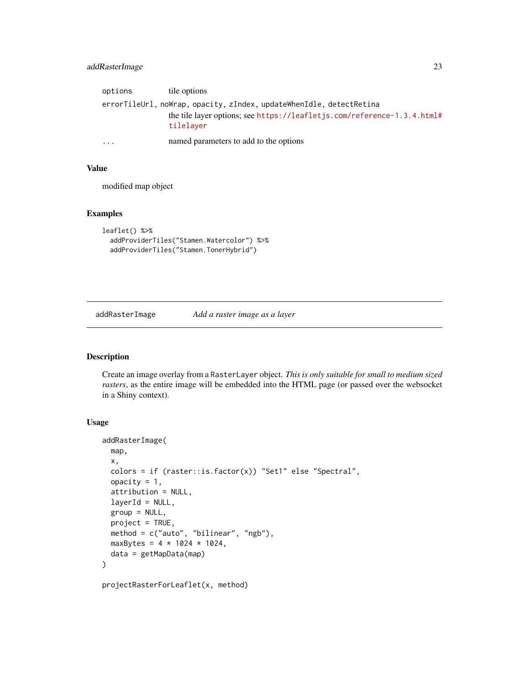## <span id="page-22-0"></span>addRasterImage 23

| options   | tile options                                                                         |
|-----------|--------------------------------------------------------------------------------------|
|           | errorTileUrl, noWrap, opacity, zIndex, updateWhenIdle, detectRetina                  |
|           | the tile layer options; see https://leafletjs.com/reference-1.3.4.html#<br>tilelayer |
| $\ddotsc$ | named parameters to add to the options                                               |

#### Value

modified map object

## Examples

```
leaflet() %>%
  addProviderTiles("Stamen.Watercolor") %>%
  addProviderTiles("Stamen.TonerHybrid")
```
#### addRasterImage *Add a raster image as a layer*

## Description

Create an image overlay from a RasterLayer object. *This is only suitable for small to medium sized rasters*, as the entire image will be embedded into the HTML page (or passed over the websocket in a Shiny context).

## Usage

```
addRasterImage(
  map,
 x,
 colors = if (raster::is.factor(x)) "Set1" else "Spectral",
 opacity = 1,
  attribution = NULL,
  layerId = NULL,
  group = NULL,project = TRUE,
 method = c("auto", "bilinear", "ngb"),
 maxBytes = 4 * 1024 * 1024,
 data = getMapData(map)
)
```
projectRasterForLeaflet(x, method)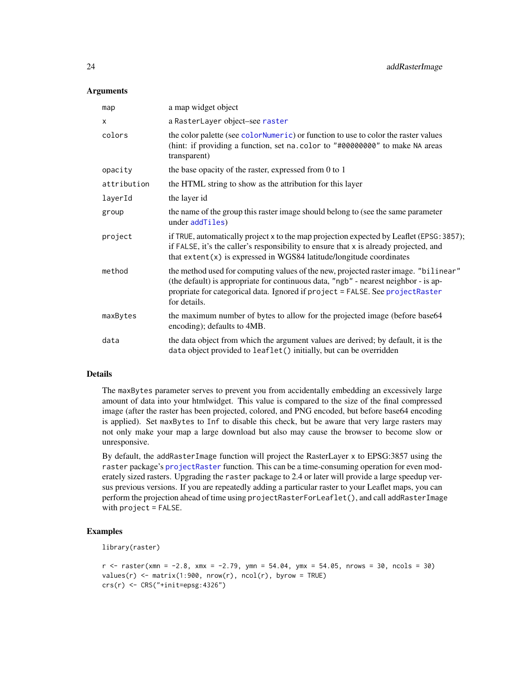#### <span id="page-23-0"></span>**Arguments**

| map         | a map widget object                                                                                                                                                                                                                                                         |
|-------------|-----------------------------------------------------------------------------------------------------------------------------------------------------------------------------------------------------------------------------------------------------------------------------|
| X           | a RasterLayer object-see raster                                                                                                                                                                                                                                             |
| colors      | the color palette (see color Numeric) or function to use to color the raster values<br>(hint: if providing a function, set na. color to "#00000000" to make NA areas<br>transparent)                                                                                        |
| opacity     | the base opacity of the raster, expressed from 0 to 1                                                                                                                                                                                                                       |
| attribution | the HTML string to show as the attribution for this layer                                                                                                                                                                                                                   |
| layerId     | the layer id                                                                                                                                                                                                                                                                |
| group       | the name of the group this raster image should belong to (see the same parameter<br>under addTiles)                                                                                                                                                                         |
| project     | if TRUE, automatically project x to the map projection expected by Leaflet (EPSG: 3857);<br>if FALSE, it's the caller's responsibility to ensure that x is already projected, and<br>that $ext{ent}(x)$ is expressed in WGS84 latitude/longitude coordinates                |
| method      | the method used for computing values of the new, projected raster image. "bilinear"<br>(the default) is appropriate for continuous data, "ngb" - nearest neighbor - is ap-<br>propriate for categorical data. Ignored if project = FALSE. See projectRaster<br>for details. |
| maxBytes    | the maximum number of bytes to allow for the projected image (before base64<br>encoding); defaults to 4MB.                                                                                                                                                                  |
| data        | the data object from which the argument values are derived; by default, it is the<br>data object provided to leaflet() initially, but can be overridden                                                                                                                     |

## Details

The maxBytes parameter serves to prevent you from accidentally embedding an excessively large amount of data into your htmlwidget. This value is compared to the size of the final compressed image (after the raster has been projected, colored, and PNG encoded, but before base64 encoding is applied). Set maxBytes to Inf to disable this check, but be aware that very large rasters may not only make your map a large download but also may cause the browser to become slow or unresponsive.

By default, the addRasterImage function will project the RasterLayer x to EPSG:3857 using the raster package's [projectRaster](#page-0-0) function. This can be a time-consuming operation for even moderately sized rasters. Upgrading the raster package to 2.4 or later will provide a large speedup versus previous versions. If you are repeatedly adding a particular raster to your Leaflet maps, you can perform the projection ahead of time using projectRasterForLeaflet(), and call addRasterImage with project = FALSE.

## Examples

```
library(raster)
```

```
r <- raster(xmn = -2.8, xmx = -2.79, ymn = 54.04, ymx = 54.05, nrows = 30, ncols = 30)
values(r) \leq matrix(1:900, nrow(r), ncol(r), byrow = TRUE)
crs(r) <- CRS("+init=epsg:4326")
```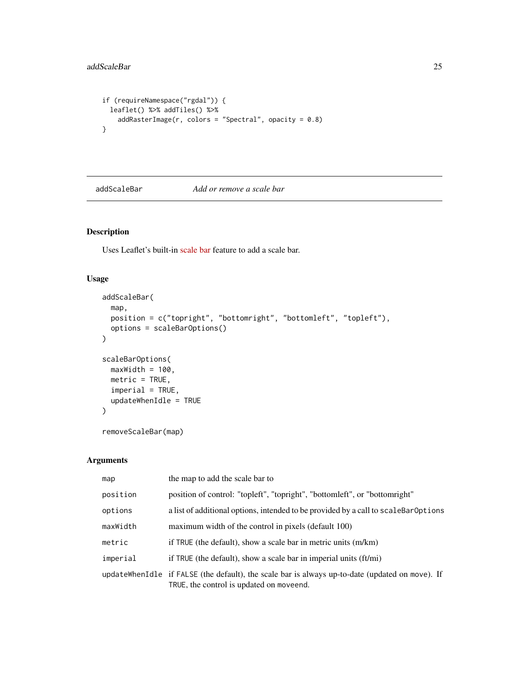```
if (requireNamespace("rgdal")) {
 leaflet() %>% addTiles() %>%
   addRasterImage(r, colors = "Spectral", opacity = 0.8)}
```
addScaleBar *Add or remove a scale bar*

## Description

Uses Leaflet's built-in [scale bar](https://leafletjs.com/reference-1.3.4.html#control-scale) feature to add a scale bar.

## Usage

```
addScaleBar(
 map,
 position = c("topright", "bottomright", "bottomleft", "topleft"),
 options = scaleBarOptions()
)
scaleBarOptions(
 maxWidth = 100,metric = TRUE,
 imperial = TRUE,
 updateWhenIdle = TRUE
)
```
removeScaleBar(map)

| map      | the map to add the scale bar to                                                                                                             |
|----------|---------------------------------------------------------------------------------------------------------------------------------------------|
| position | position of control: "topleft", "topright", "bottomleft", or "bottomright"                                                                  |
| options  | a list of additional options, intended to be provided by a call to scaleBarOptions                                                          |
| maxWidth | maximum width of the control in pixels (default 100)                                                                                        |
| metric   | if TRUE (the default), show a scale bar in metric units (m/km)                                                                              |
| imperial | if TRUE (the default), show a scale bar in imperial units (ft/mi)                                                                           |
|          | updateWhenIdle if FALSE (the default), the scale bar is always up-to-date (updated on move). If<br>TRUE, the control is updated on moveend. |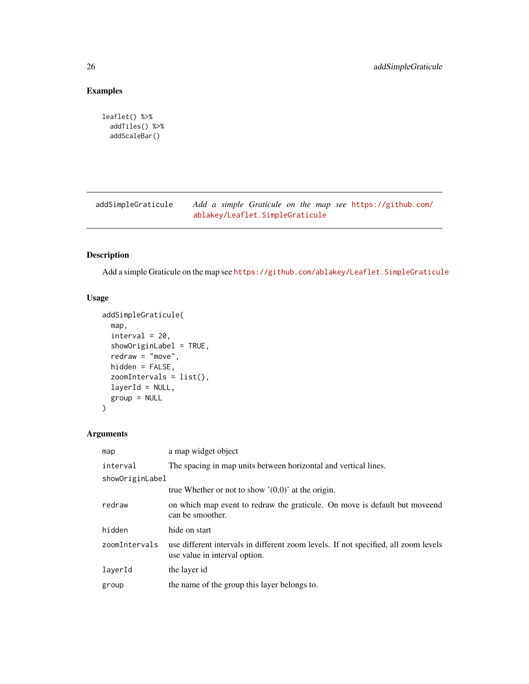## Examples

```
leaflet() %>%
  addTiles() %>%
  addScaleBar()
```
addSimpleGraticule *Add a simple Graticule on the map see* [https://github.com/](https://github.com/ablakey/Leaflet.SimpleGraticule) [ablakey/Leaflet.SimpleGraticule](https://github.com/ablakey/Leaflet.SimpleGraticule)

## Description

Add a simple Graticule on the map see <https://github.com/ablakey/Leaflet.SimpleGraticule>

## Usage

```
addSimpleGraticule(
 map,
  interval = 20,
  showOriginLabel = TRUE,
  redraw = "move",
 hidden = FALSE,
  zoomIntervals = list(),
  layerId = NULL,group = NULL
)
```

| map             | a map widget object                                                                                                  |
|-----------------|----------------------------------------------------------------------------------------------------------------------|
| interval        | The spacing in map units between horizontal and vertical lines.                                                      |
| showOriginLabel |                                                                                                                      |
|                 | true Whether or not to show $'(0,0)$ at the origin.                                                                  |
| redraw          | on which map event to redraw the graticule. On move is default but moveend<br>can be smoother.                       |
| hidden          | hide on start                                                                                                        |
| zoomIntervals   | use different intervals in different zoom levels. If not specified, all zoom levels<br>use value in interval option. |
| layerId         | the layer id                                                                                                         |
| group           | the name of the group this layer belongs to.                                                                         |

<span id="page-25-0"></span>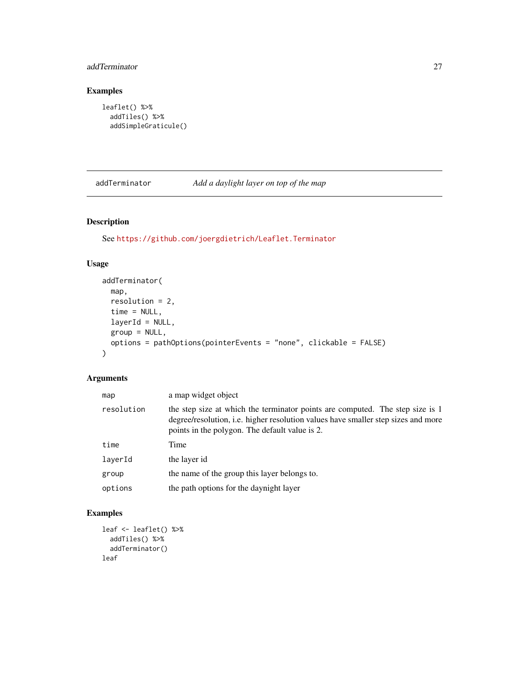## <span id="page-26-0"></span>addTerminator 27

## Examples

```
leaflet() %>%
  addTiles() %>%
  addSimpleGraticule()
```
addTerminator *Add a daylight layer on top of the map*

## Description

See <https://github.com/joergdietrich/Leaflet.Terminator>

## Usage

```
addTerminator(
 map,
 resolution = 2,
 time = NULL,
 layerId = NULL,group = NULL,
 options = pathOptions(pointerEvents = "none", clickable = FALSE)
)
```
## Arguments

| map        | a map widget object                                                                                                                                                                                                         |
|------------|-----------------------------------------------------------------------------------------------------------------------------------------------------------------------------------------------------------------------------|
| resolution | the step size at which the terminator points are computed. The step size is 1<br>degree/resolution, <i>i.e.</i> higher resolution values have smaller step sizes and more<br>points in the polygon. The default value is 2. |
| time       | Time                                                                                                                                                                                                                        |
| laverId    | the layer id                                                                                                                                                                                                                |
| group      | the name of the group this layer belongs to.                                                                                                                                                                                |
| options    | the path options for the day night layer                                                                                                                                                                                    |

## Examples

```
leaf <- leaflet() %>%
 addTiles() %>%
  addTerminator()
leaf
```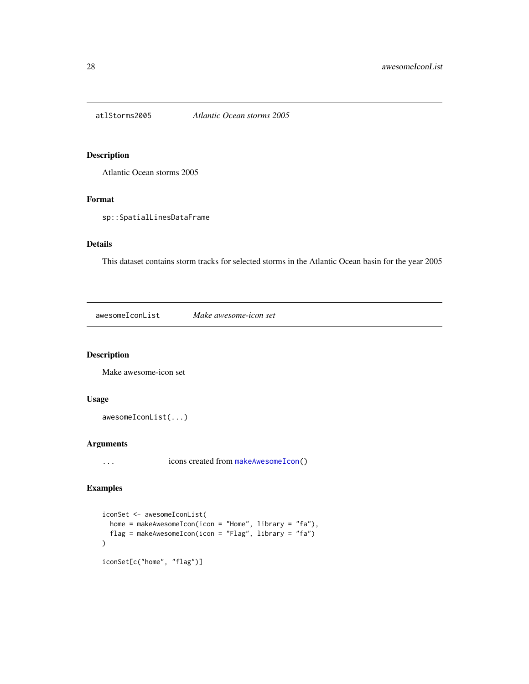<span id="page-27-0"></span>

Atlantic Ocean storms 2005

## Format

sp::SpatialLinesDataFrame

#### Details

This dataset contains storm tracks for selected storms in the Atlantic Ocean basin for the year 2005

awesomeIconList *Make awesome-icon set*

## Description

Make awesome-icon set

## Usage

```
awesomeIconList(...)
```
## Arguments

... icons created from [makeAwesomeIcon\(](#page-52-1))

#### Examples

```
iconSet <- awesomeIconList(
  home = makeAwesomeIcon(icon = "Home", library = "fa"),
  flag = makeAwesomeIcon(icon = "Flag", library = "fa")
\mathcal{L}iconSet[c("home", "flag")]
```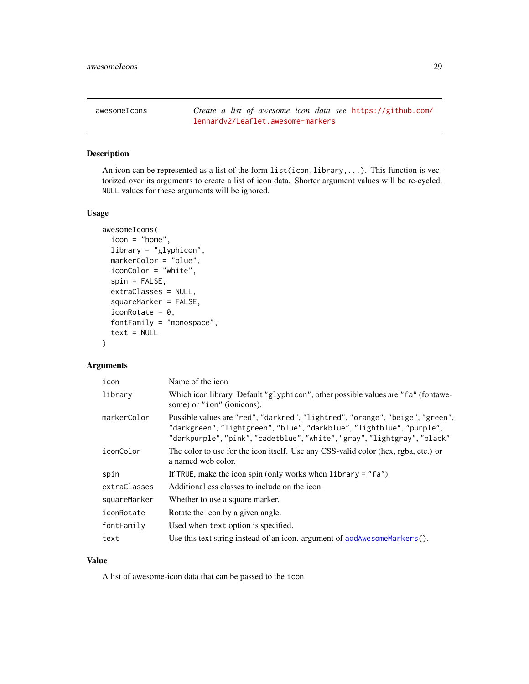<span id="page-28-0"></span>

An icon can be represented as a list of the form list(icon,library,...). This function is vectorized over its arguments to create a list of icon data. Shorter argument values will be re-cycled. NULL values for these arguments will be ignored.

## Usage

```
awesomeIcons(
  icon = "home",
  library = "glyphicon",
  markerColor = "blue",
  iconColor = "white",
  spin = FALSE,extraClasses = NULL,
  squareMarker = FALSE,
  iconRotate = 0,
  fontFamily = "monospace",
  text = NULL)
```
## Arguments

| icon         | Name of the icon                                                                                                                                                                                                                   |
|--------------|------------------------------------------------------------------------------------------------------------------------------------------------------------------------------------------------------------------------------------|
| library      | Which icon library. Default "glyphicon", other possible values are "fa" (fontawe-<br>some) or "ion" (ionicons).                                                                                                                    |
| markerColor  | Possible values are "red", "darkred", "lightred", "orange", "beige", "green",<br>"darkgreen", "lightgreen", "blue", "darkblue", "lightblue", "purple",<br>"darkpurple", "pink", "cadetblue", "white", "gray", "lightgray", "black" |
| iconColor    | The color to use for the icon itself. Use any CSS-valid color (hex, rgba, etc.) or<br>a named web color.                                                                                                                           |
| spin         | If TRUE, make the icon spin (only works when library $=$ "fa")                                                                                                                                                                     |
| extraClasses | Additional css classes to include on the icon.                                                                                                                                                                                     |
| squareMarker | Whether to use a square marker.                                                                                                                                                                                                    |
| iconRotate   | Rotate the icon by a given angle.                                                                                                                                                                                                  |
| fontFamily   | Used when text option is specified.                                                                                                                                                                                                |
| text         | Use this text string instead of an icon. argument of $addAwesomeMarker s()$ .                                                                                                                                                      |

## Value

A list of awesome-icon data that can be passed to the icon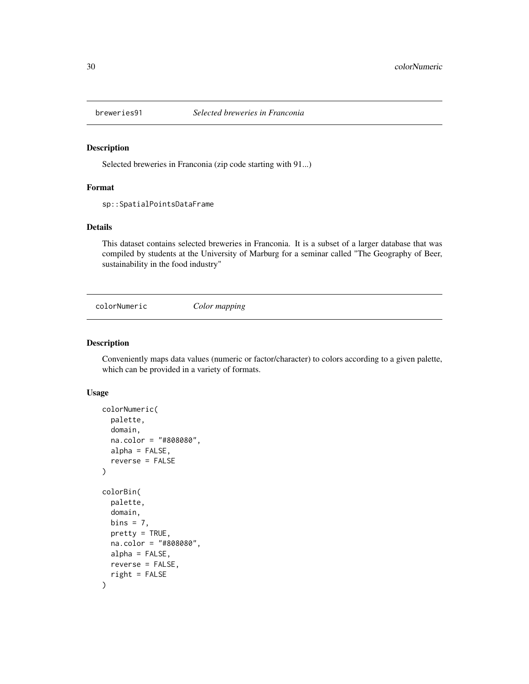<span id="page-29-0"></span>

Selected breweries in Franconia (zip code starting with 91...)

## Format

sp::SpatialPointsDataFrame

## Details

This dataset contains selected breweries in Franconia. It is a subset of a larger database that was compiled by students at the University of Marburg for a seminar called "The Geography of Beer, sustainability in the food industry"

<span id="page-29-1"></span>colorNumeric *Color mapping*

#### Description

Conveniently maps data values (numeric or factor/character) to colors according to a given palette, which can be provided in a variety of formats.

#### Usage

```
colorNumeric(
  palette,
  domain,
  na.color = "#808080",
  alpha = FALSE,
  reverse = FALSE
\lambdacolorBin(
  palette,
  domain,
  bins = 7,pretty = TRUE,
  na.color = "#808080",
  alpha = FALSE,
  reverse = FALSE,
  right = FALSE
)
```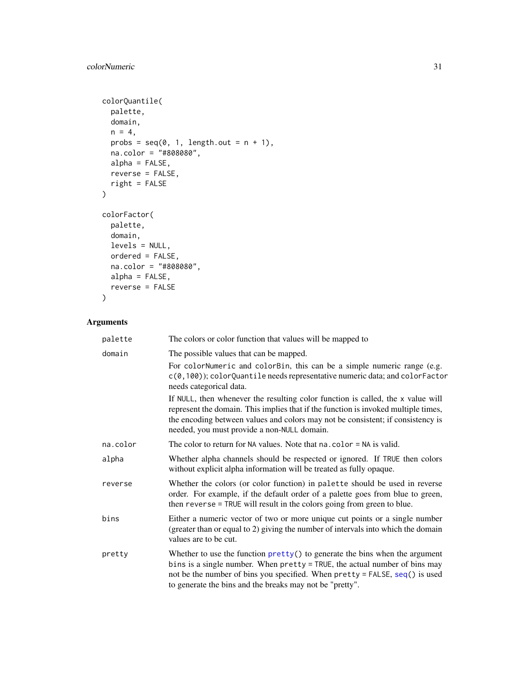## <span id="page-30-0"></span>colorNumeric 31

```
colorQuantile(
  palette,
  domain,
  n = 4,
  probs = seq(0, 1, length.out = n + 1),
  na.color = "#808080",
  alpha = FALSE,
  reverse = FALSE,
  right = FALSE
\mathcal{L}colorFactor(
  palette,
  domain,
  levels = NULL,
  ordered = FALSE,
  na.color = "#808080",
  alpha = FALSE,
  reverse = FALSE
)
```

| palette  | The colors or color function that values will be mapped to                                                                                                                                                                                                                                                   |
|----------|--------------------------------------------------------------------------------------------------------------------------------------------------------------------------------------------------------------------------------------------------------------------------------------------------------------|
| domain   | The possible values that can be mapped.                                                                                                                                                                                                                                                                      |
|          | For colorNumeric and colorBin, this can be a simple numeric range (e.g.<br>c(0,100)); colorQuantile needs representative numeric data; and colorFactor<br>needs categorical data.                                                                                                                            |
|          | If NULL, then whenever the resulting color function is called, the x value will<br>represent the domain. This implies that if the function is invoked multiple times,<br>the encoding between values and colors may not be consistent; if consistency is<br>needed, you must provide a non-NULL domain.      |
| na.color | The color to return for NA values. Note that $na$ . color = NA is valid.                                                                                                                                                                                                                                     |
| alpha    | Whether alpha channels should be respected or ignored. If TRUE then colors<br>without explicit alpha information will be treated as fully opaque.                                                                                                                                                            |
| reverse  | Whether the colors (or color function) in palette should be used in reverse<br>order. For example, if the default order of a palette goes from blue to green,<br>then reverse = TRUE will result in the colors going from green to blue.                                                                     |
| bins     | Either a numeric vector of two or more unique cut points or a single number<br>(greater than or equal to 2) giving the number of intervals into which the domain<br>values are to be cut.                                                                                                                    |
| pretty   | Whether to use the function $\text{prety}()$ to generate the bins when the argument<br>bins is a single number. When pretty = TRUE, the actual number of bins may<br>not be the number of bins you specified. When pretty = FALSE, seq() is used<br>to generate the bins and the breaks may not be "pretty". |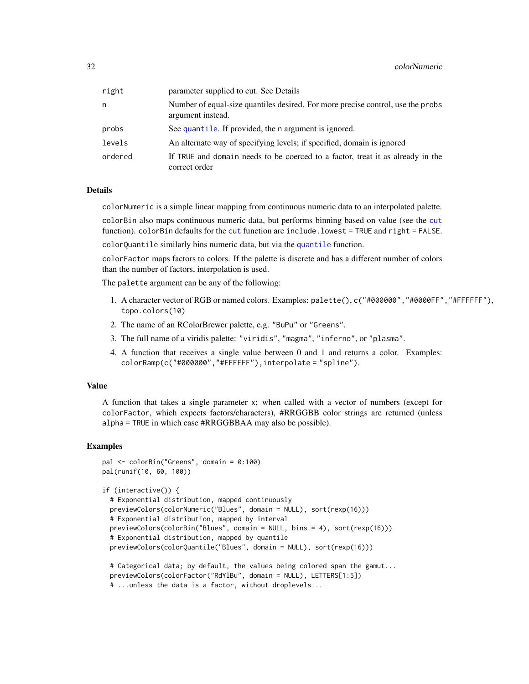<span id="page-31-0"></span>

| right   | parameter supplied to cut. See Details                                                               |
|---------|------------------------------------------------------------------------------------------------------|
| n       | Number of equal-size quantiles desired. For more precise control, use the probs<br>argument instead. |
| probs   | See quantile. If provided, the n argument is ignored.                                                |
| levels  | An alternate way of specifying levels; if specified, domain is ignored                               |
| ordered | If TRUE and domain needs to be coerced to a factor, treat it as already in the<br>correct order      |

## **Details**

colorNumeric is a simple linear mapping from continuous numeric data to an interpolated palette.

colorBin also maps continuous numeric data, but performs binning based on value (see the [cut](#page-0-0) function). colorBin defaults for the [cut](#page-0-0) function are include.lowest = TRUE and right = FALSE.

colorQuantile similarly bins numeric data, but via the [quantile](#page-0-0) function.

colorFactor maps factors to colors. If the palette is discrete and has a different number of colors than the number of factors, interpolation is used.

The palette argument can be any of the following:

- 1. A character vector of RGB or named colors. Examples: palette(), c("#000000","#0000FF","#FFFFFF"), topo.colors(10)
- 2. The name of an RColorBrewer palette, e.g. "BuPu" or "Greens".
- 3. The full name of a viridis palette: "viridis", "magma", "inferno", or "plasma".
- 4. A function that receives a single value between 0 and 1 and returns a color. Examples: colorRamp(c("#000000","#FFFFFF"),interpolate = "spline").

#### Value

A function that takes a single parameter x; when called with a vector of numbers (except for colorFactor, which expects factors/characters), #RRGGBB color strings are returned (unless alpha = TRUE in which case #RRGGBBAA may also be possible).

#### Examples

```
pal <- colorBin("Greens", domain = 0:100)
pal(runif(10, 60, 100))
```

```
if (interactive()) {
```

```
# Exponential distribution, mapped continuously
previewColors(colorNumeric("Blues", domain = NULL), sort(rexp(16)))
# Exponential distribution, mapped by interval
previewColors(colorBin("Blues", domain = NULL, bins = 4), sort(rexp(16)))
# Exponential distribution, mapped by quantile
previewColors(colorQuantile("Blues", domain = NULL), sort(rexp(16)))
```

```
# Categorical data; by default, the values being colored span the gamut...
previewColors(colorFactor("RdYlBu", domain = NULL), LETTERS[1:5])
# ...unless the data is a factor, without droplevels...
```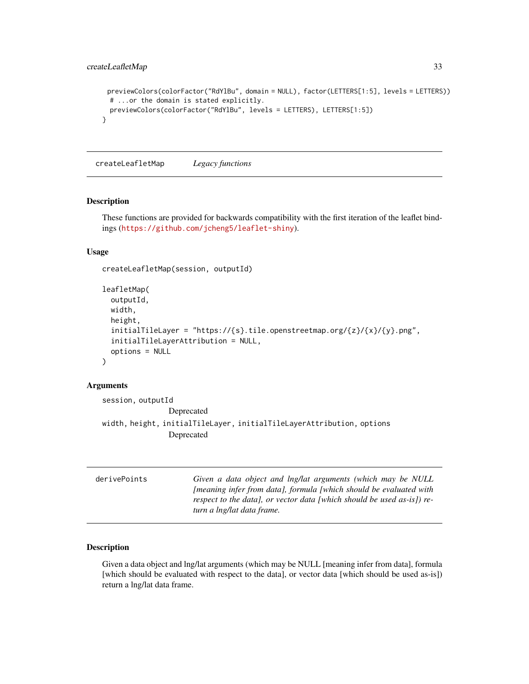```
previewColors(colorFactor("RdYlBu", domain = NULL), factor(LETTERS[1:5], levels = LETTERS))
 # ...or the domain is stated explicitly.
 previewColors(colorFactor("RdYlBu", levels = LETTERS), LETTERS[1:5])
}
```
createLeafletMap *Legacy functions*

#### Description

These functions are provided for backwards compatibility with the first iteration of the leaflet bindings (<https://github.com/jcheng5/leaflet-shiny>).

## Usage

```
createLeafletMap(session, outputId)
```

```
leafletMap(
 outputId,
 width,
 height,
  initialTileLayer = "https://{s}.tile.openstreetmap.org/{z}/{x}/{y}.png",
  initialTileLayerAttribution = NULL,
  options = NULL
)
```
#### Arguments

```
session, outputId
                Deprecated
width, height, initialTileLayer, initialTileLayerAttribution, options
                Deprecated
```

| derivePoints | Given a data object and lng/lat arguments (which may be NULL               |
|--------------|----------------------------------------------------------------------------|
|              | <i>Imeaning infer from data), formula I which should be evaluated with</i> |
|              | respect to the data), or vector data [which should be used as-is]) re-     |
|              | turn a lng/lat data frame.                                                 |

## Description

Given a data object and lng/lat arguments (which may be NULL [meaning infer from data], formula [which should be evaluated with respect to the data], or vector data [which should be used as-is]) return a lng/lat data frame.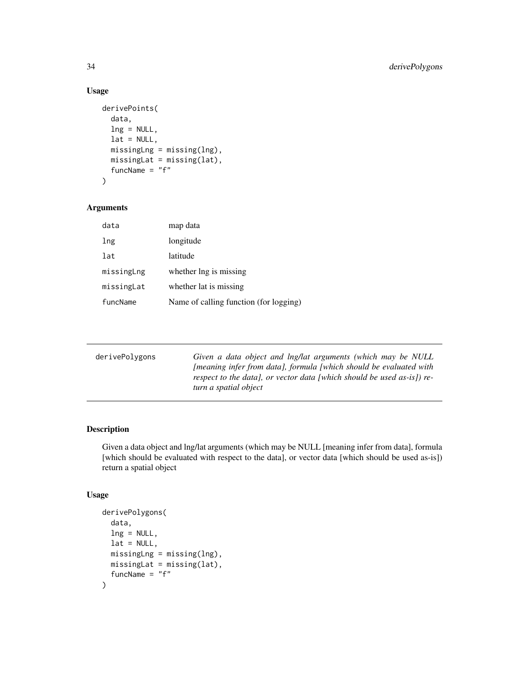## Usage

```
derivePoints(
  data,
  ln g = NULL,lat = NULL,missingLng = missing(lng),
 missingLat = missing(lat),
  funcName = "f")
```
#### Arguments

| data       | map data                               |
|------------|----------------------------------------|
| lng        | longitude                              |
| lat        | latitude                               |
| missingLng | whether lng is missing                 |
| missingLat | whether lat is missing                 |
| funcName   | Name of calling function (for logging) |

| derivePolygons | Given a data object and lng/lat arguments (which may be NULL<br><i>Imeaning infer from data), formula [which should be evaluated with</i><br>respect to the data], or vector data [which should be used as-is]) re-<br>turn a spatial object |
|----------------|----------------------------------------------------------------------------------------------------------------------------------------------------------------------------------------------------------------------------------------------|
|                |                                                                                                                                                                                                                                              |

## Description

Given a data object and lng/lat arguments (which may be NULL [meaning infer from data], formula [which should be evaluated with respect to the data], or vector data [which should be used as-is]) return a spatial object

## Usage

```
derivePolygons(
 data,
 lng = NULL,
 lat = NULL,missingLng = missing(lng),
 missingLat = missing(lat),
  funcName = "f"\mathcal{L}
```
<span id="page-33-0"></span>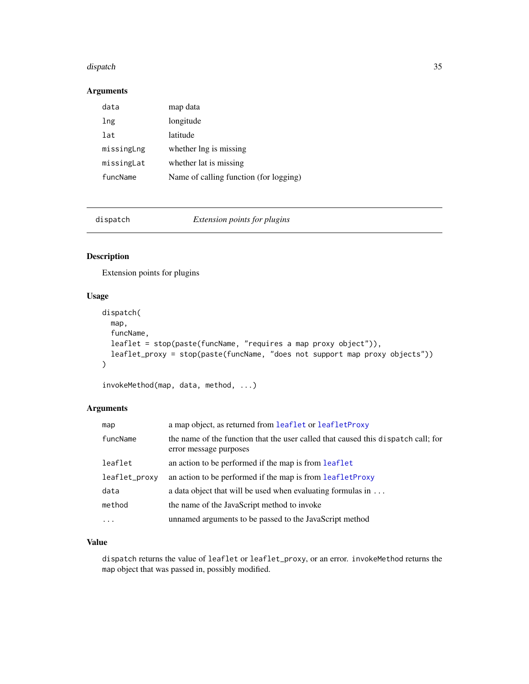#### <span id="page-34-0"></span>dispatch 35 and 35 and 35 and 35 and 35 and 35 and 36 and 36 and 36 and 35 and 35 and 35 and 35 and 35 and 35

## Arguments

| data       | map data                               |
|------------|----------------------------------------|
| lng        | longitude                              |
| lat        | latitude                               |
| missingLng | whether lng is missing                 |
| missingLat | whether lat is missing                 |
| funcName   | Name of calling function (for logging) |

|  |  |  | dispatch |  |
|--|--|--|----------|--|
|  |  |  |          |  |

spatch *Extension points for plugins* 

## Description

Extension points for plugins

## Usage

```
dispatch(
 map,
 funcName,
 leaflet = stop(paste(funcName, "requires a map proxy object")),
 leaflet_proxy = stop(paste(funcName, "does not support map proxy objects"))
)
```
invokeMethod(map, data, method, ...)

## Arguments

| map           | a map object, as returned from leaflet or leafletProxy                                                      |
|---------------|-------------------------------------------------------------------------------------------------------------|
| funcName      | the name of the function that the user called that caused this dispatch call; for<br>error message purposes |
| leaflet       | an action to be performed if the map is from leaflet                                                        |
| leaflet_proxy | an action to be performed if the map is from leafletProxy                                                   |
| data          | a data object that will be used when evaluating formulas in $\dots$                                         |
| method        | the name of the JavaScript method to invoke                                                                 |
| $\ddots$      | unnamed arguments to be passed to the JavaScript method                                                     |

## Value

dispatch returns the value of leaflet or leaflet\_proxy, or an error. invokeMethod returns the map object that was passed in, possibly modified.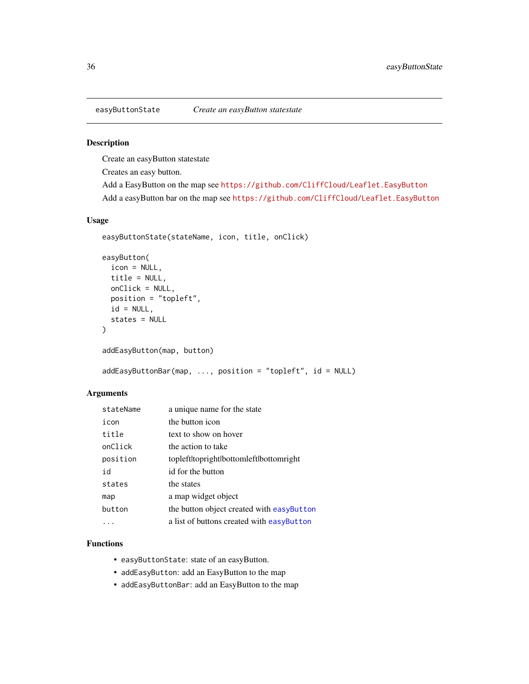<span id="page-35-1"></span><span id="page-35-0"></span>

Create an easyButton statestate

Creates an easy button.

Add a EasyButton on the map see <https://github.com/CliffCloud/Leaflet.EasyButton> Add a easyButton bar on the map see <https://github.com/CliffCloud/Leaflet.EasyButton>

#### Usage

```
easyButtonState(stateName, icon, title, onClick)
```

```
easyButton(
  icon = NULL,
  title = NULL,
 onClick = NULL,
 position = "topleft",
  id = NULL,states = NULL
)
addEasyButton(map, button)
```
addEasyButtonBar(map, ..., position = "topleft", id = NULL)

#### Arguments

| stateName | a unique name for the state               |
|-----------|-------------------------------------------|
| icon      | the button icon                           |
| title     | text to show on hover                     |
| onClick   | the action to take                        |
| position  | topleftltoprightlbottomleftlbottomright   |
| id        | id for the button                         |
| states    | the states                                |
| map       | a map widget object                       |
| button    | the button object created with easyButton |
|           | a list of buttons created with easyButton |

## Functions

- easyButtonState: state of an easyButton.
- addEasyButton: add an EasyButton to the map
- addEasyButtonBar: add an EasyButton to the map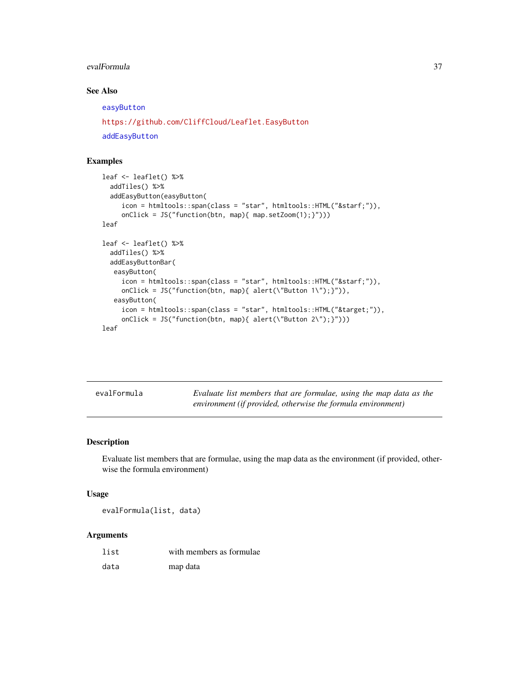#### <span id="page-36-0"></span>evalFormula 37

## See Also

[easyButton](#page-35-1) <https://github.com/CliffCloud/Leaflet.EasyButton>

[addEasyButton](#page-35-1)

## Examples

```
leaf <- leaflet() %>%
  addTiles() %>%
  addEasyButton(easyButton(
     icon = htmltools::span(class = "star", htmltools::HTML("★")),
     onClick = JS("function(btn, map){ map.setZoom(1);}")))
leaf
leaf <- leaflet() %>%
  addTiles() %>%
  addEasyButtonBar(
  easyButton(
     icon = htmltools::span(class = "star", htmltools::HTML("★")),
     onClick = JS("function(btn, map){ alert(\"Button 1\");}")),
   easyButton(
     icon = htmltools::span(class = "star", htmltools::HTML("⌖")),
     onClick = JS("function(btn, map){ alert(\Upsilon'Button 2\Upsilon');}")))
leaf
```

| evalFormula | Evaluate list members that are formulae, using the map data as the |
|-------------|--------------------------------------------------------------------|
|             | environment (if provided, otherwise the formula environment)       |

## Description

Evaluate list members that are formulae, using the map data as the environment (if provided, otherwise the formula environment)

#### Usage

evalFormula(list, data)

| list | with members as formulae. |
|------|---------------------------|
| data | map data                  |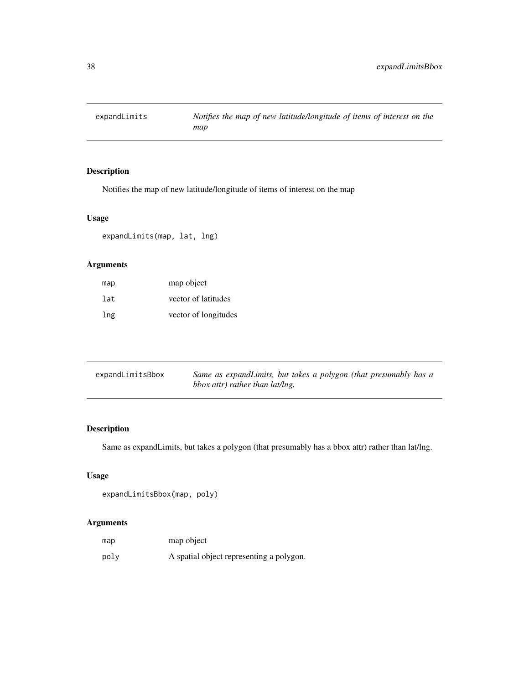<span id="page-37-0"></span>

Notifies the map of new latitude/longitude of items of interest on the map

## Usage

expandLimits(map, lat, lng)

## Arguments

| map | map object           |
|-----|----------------------|
| lat | vector of latitudes  |
| lng | vector of longitudes |

| expandLimitsBbox | Same as expandLimits, but takes a polygon (that presumably has a |
|------------------|------------------------------------------------------------------|
|                  |                                                                  |
|                  | bbox attr) rather than lat/lng.                                  |

## Description

Same as expandLimits, but takes a polygon (that presumably has a bbox attr) rather than lat/lng.

## Usage

```
expandLimitsBbox(map, poly)
```

| map  | map object                               |
|------|------------------------------------------|
| poly | A spatial object representing a polygon. |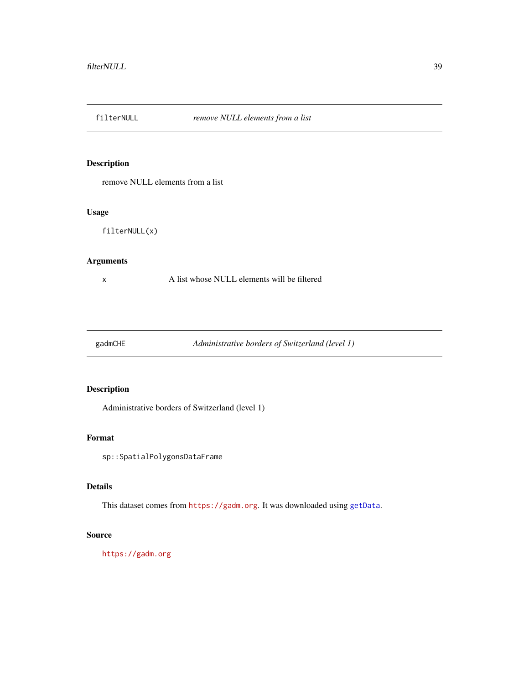<span id="page-38-0"></span>

remove NULL elements from a list

#### Usage

filterNULL(x)

## Arguments

x A list whose NULL elements will be filtered

gadmCHE *Administrative borders of Switzerland (level 1)*

## Description

Administrative borders of Switzerland (level 1)

## Format

sp::SpatialPolygonsDataFrame

## Details

This dataset comes from <https://gadm.org>. It was downloaded using [getData](#page-0-0).

## Source

<https://gadm.org>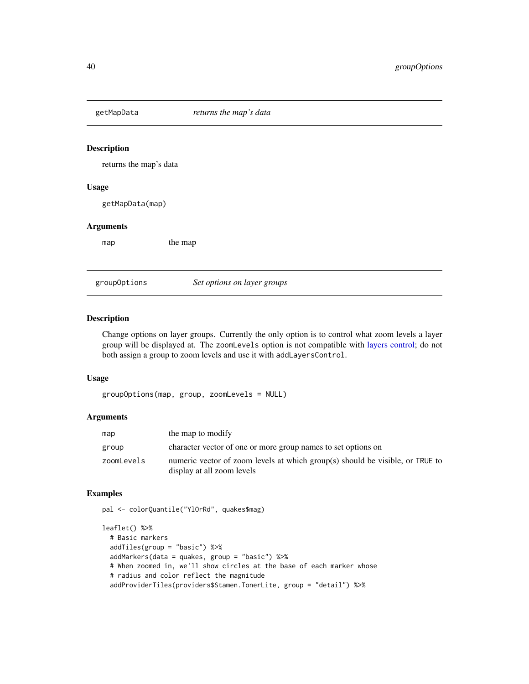<span id="page-39-0"></span>

returns the map's data

#### Usage

getMapData(map)

#### Arguments

map the map

groupOptions *Set options on layer groups*

## Description

Change options on layer groups. Currently the only option is to control what zoom levels a layer group will be displayed at. The zoomLevels option is not compatible with [layers control;](#page-12-1) do not both assign a group to zoom levels and use it with addLayersControl.

## Usage

groupOptions(map, group, zoomLevels = NULL)

#### Arguments

| map        | the map to modify                                                                                           |
|------------|-------------------------------------------------------------------------------------------------------------|
| group      | character vector of one or more group names to set options on                                               |
| zoomLevels | numeric vector of zoom levels at which group(s) should be visible, or TRUE to<br>display at all zoom levels |

## Examples

pal <- colorQuantile("YlOrRd", quakes\$mag)

```
leaflet() %>%
  # Basic markers
  addTiles(group = "basic") %>%
  addMarkers(data = quakes, group = "basic") %>%
  # When zoomed in, we'll show circles at the base of each marker whose
  # radius and color reflect the magnitude
  addProviderTiles(providers$Stamen.TonerLite, group = "detail") %>%
```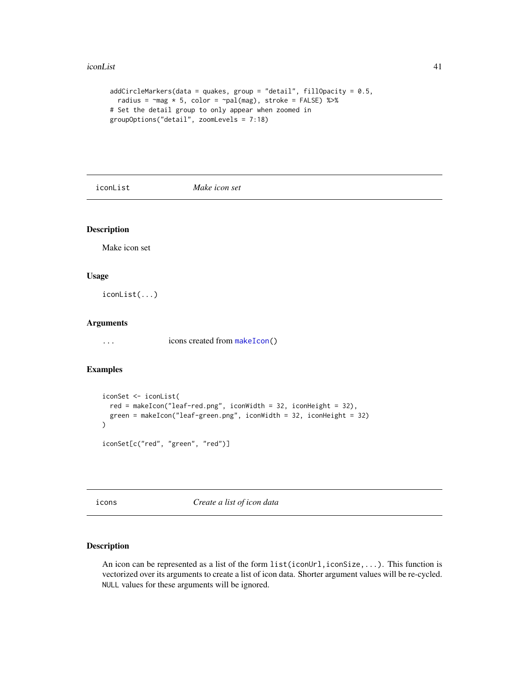#### <span id="page-40-0"></span>iconList 41

```
addCircleMarkers(data = quakes, group = "detail", fillOpacity = 0.5,
 radius = \negmag * 5, color = \negpal(mag), stroke = FALSE) %>%
# Set the detail group to only appear when zoomed in
groupOptions("detail", zoomLevels = 7:18)
```
iconList *Make icon set*

## Description

Make icon set

#### Usage

iconList(...)

#### Arguments

... icons created from [makeIcon\(](#page-53-1))

## Examples

```
iconSet <- iconList(
 red = makeIcon("leaf-red.png", iconWidth = 32, iconHeight = 32),
 green = makeIcon("leaf-green.png", iconWidth = 32, iconHeight = 32)
)
iconSet[c("red", "green", "red")]
```
<span id="page-40-1"></span>icons *Create a list of icon data*

## Description

An icon can be represented as a list of the form  $list(iconUn], iconSize,...)$ . This function is vectorized over its arguments to create a list of icon data. Shorter argument values will be re-cycled. NULL values for these arguments will be ignored.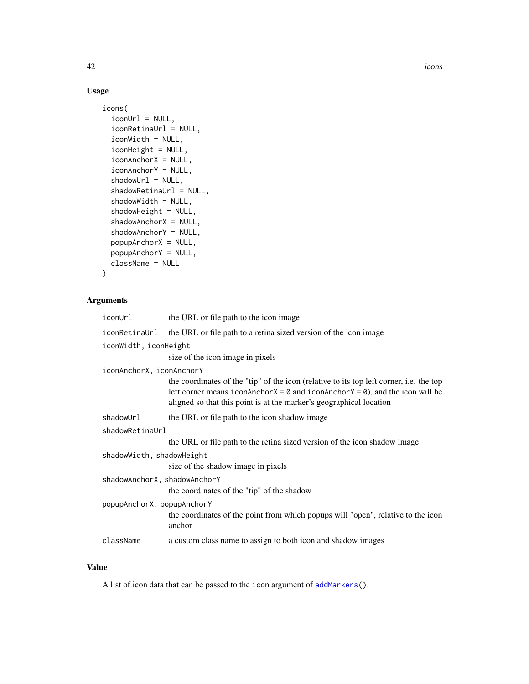42 constants and the constant of the constant of the constant of the constant of the constant of the constant of the constant of the constant of the constant of the constant of the constant of the constant of the constant

## Usage

```
icons(
  iconUrl = NULL,
  iconRetinaUrl = NULL,
  iconWidth = NULL,
  iconHeight = NULL,
  iconAnchorX = NULL,
  iconAnchorY = NULL,
  shadowUr1 = NULL,shadowRetinaUrl = NULL,
  shadowWidth = NULL,
  shadowHeight = NULL,
  shadowAnchorX = NULL,
  shadowAnchorY = NULL,
  popupAnchorX = NULL,
 popupAnchorY = NULL,
 className = NULL
)
```
## Arguments

| iconUrl                      | the URL or file path to the icon image                                                                                                                                                                                                                                |
|------------------------------|-----------------------------------------------------------------------------------------------------------------------------------------------------------------------------------------------------------------------------------------------------------------------|
|                              | iconRetinaUrl the URL or file path to a retina sized version of the icon image                                                                                                                                                                                        |
| iconWidth, iconHeight        |                                                                                                                                                                                                                                                                       |
|                              | size of the icon image in pixels                                                                                                                                                                                                                                      |
| iconAnchorX, iconAnchorY     |                                                                                                                                                                                                                                                                       |
|                              | the coordinates of the "tip" of the icon (relative to its top left corner, i.e. the top<br>left corner means iconAnchor $X = \emptyset$ and iconAnchor $Y = \emptyset$ ), and the icon will be<br>aligned so that this point is at the marker's geographical location |
| shadowUrl                    | the URL or file path to the icon shadow image                                                                                                                                                                                                                         |
| shadowRetinaUrl              |                                                                                                                                                                                                                                                                       |
|                              | the URL or file path to the retina sized version of the icon shadow image                                                                                                                                                                                             |
| shadowWidth, shadowHeight    |                                                                                                                                                                                                                                                                       |
|                              | size of the shadow image in pixels                                                                                                                                                                                                                                    |
| shadowAnchorX, shadowAnchorY |                                                                                                                                                                                                                                                                       |
|                              | the coordinates of the "tip" of the shadow                                                                                                                                                                                                                            |
| popupAnchorX, popupAnchorY   |                                                                                                                                                                                                                                                                       |
|                              | the coordinates of the point from which popups will "open", relative to the icon<br>anchor                                                                                                                                                                            |
| className                    | a custom class name to assign to both icon and shadow images                                                                                                                                                                                                          |

## Value

A list of icon data that can be passed to the icon argument of [addMarkers\(](#page-3-1)).

<span id="page-41-0"></span>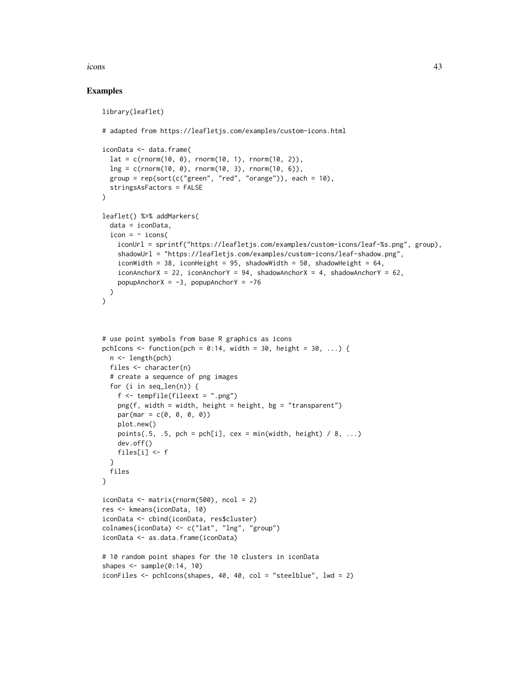#### icons 43

## Examples

```
library(leaflet)
# adapted from https://leafletjs.com/examples/custom-icons.html
iconData <- data.frame(
  lat = c(rnorm(10, 0), rnorm(10, 1), rnorm(10, 2)),lng = c(rnorm(10, 0), rnorm(10, 3), rnorm(10, 6)),
  group = rep(sort(c("green", "red", "orange")), each = 10),
  stringsAsFactors = FALSE
)
leaflet() %>% addMarkers(
  data = iconData,
  icon = \sim icons(
   iconUrl = sprintf("https://leafletjs.com/examples/custom-icons/leaf-%s.png", group),
    shadowUrl = "https://leafletjs.com/examples/custom-icons/leaf-shadow.png",
    iconWidth = 38, iconHeight = 95, shadowWidth = 50, shadowHeight = 64,
    iconAnchorX = 22, iconAnchorY = 94, shadowAnchorX = 4, shadowAnchorY = 62,
    popupAnchorX = -3, popupAnchorY = -76)
)
# use point symbols from base R graphics as icons
pchIcons \leq function(pch = 0:14, width = 30, height = 30, ...) {
  n <- length(pch)
  files <- character(n)
  # create a sequence of png images
  for (i in seq_len(n)) {
    f \leftarrow \text{template}(\text{fileext} = " . \text{png}'')ppg(f, width = width, height = height, bg = "transport")par(max = c(0, 0, 0, 0))plot.new()
   points(.5, .5, pch = pch[i], cex = min(width, height) / 8, ...)
   dev.off()
    files[i] <- f
  }
  files
}
iconData \leq matrix(rnorm(500), ncol = 2)
res <- kmeans(iconData, 10)
iconData <- cbind(iconData, res$cluster)
colnames(iconData) <- c("lat", "lng", "group")
iconData <- as.data.frame(iconData)
# 10 random point shapes for the 10 clusters in iconData
shapes \leq sample(0:14, 10)
iconFiles <- pchIcons(shapes, 40, 40, col = "steelblue", lwd = 2)
```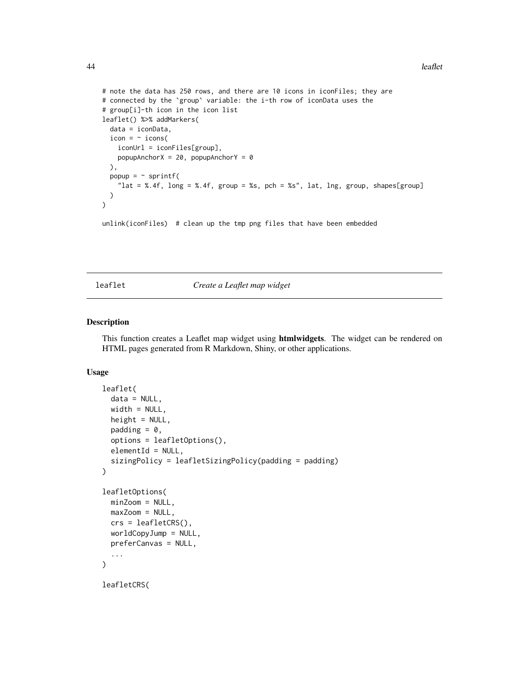```
44 leaflet
```

```
# note the data has 250 rows, and there are 10 icons in iconFiles; they are
# connected by the `group` variable: the i-th row of iconData uses the
# group[i]-th icon in the icon list
leaflet() %>% addMarkers(
 data = iconData,
 icon = \sim icons(
    iconUrl = iconFiles[group],
    popupAnchorX = 20, popupAnchorY = 0),
  popup = ~ sprintf(
    "lat = %.4f, long = %.4f, group = %s, pch = %s", lat, lng, group, shapes[group]
  \mathcal{L}\mathcal{L}unlink(iconFiles) # clean up the tmp png files that have been embedded
```
<span id="page-43-1"></span>

leaflet *Create a Leaflet map widget*

#### <span id="page-43-2"></span>Description

This function creates a Leaflet map widget using htmlwidgets. The widget can be rendered on HTML pages generated from R Markdown, Shiny, or other applications.

## Usage

```
leaflet(
  data = NULL,
  width = NULL,
  height = NULL,padding = 0,
  options = leafletOptions(),
  elementId = NULL,sizingPolicy = leafletSizingPolicy(padding = padding)
)
leafletOptions(
 minZoom = NULL,
 maxZoom = NULL,crs = leafletCRS(),
  worldCopyJump = NULL,
  preferCanvas = NULL,
  ...
)
leafletCRS(
```
<span id="page-43-0"></span>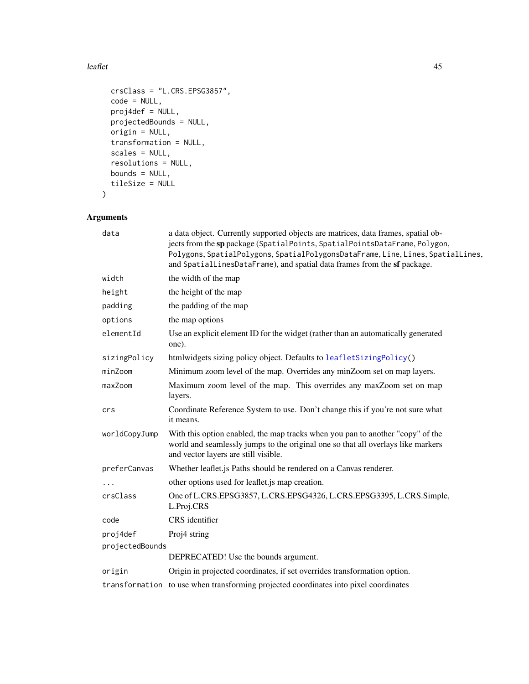#### <span id="page-44-0"></span>leaflet the contract of the contract of the contract of the contract of the contract of the contract of the contract of the contract of the contract of the contract of the contract of the contract of the contract of the co

```
crsClass = "L.CRS.EPSG3857",
 code = NULL,
 proj4def = NULL,projectedBounds = NULL,
 origin = NULL,
 transformation = NULL,
 scales = NULL,
 resolutions = NULL,
 bounds = NULL,tileSize = NULL
\mathcal{L}
```

| data            | a data object. Currently supported objects are matrices, data frames, spatial ob-<br>jects from the sp package (SpatialPoints, SpatialPointsDataFrame, Polygon,<br>Polygons, SpatialPolygons, SpatialPolygonsDataFrame, Line, Lines, SpatialLines,<br>and SpatialLinesDataFrame), and spatial data frames from the sf package. |
|-----------------|--------------------------------------------------------------------------------------------------------------------------------------------------------------------------------------------------------------------------------------------------------------------------------------------------------------------------------|
| width           | the width of the map                                                                                                                                                                                                                                                                                                           |
| height          | the height of the map                                                                                                                                                                                                                                                                                                          |
| padding         | the padding of the map                                                                                                                                                                                                                                                                                                         |
| options         | the map options                                                                                                                                                                                                                                                                                                                |
| elementId       | Use an explicit element ID for the widget (rather than an automatically generated<br>one).                                                                                                                                                                                                                                     |
| sizingPolicy    | htmlwidgets sizing policy object. Defaults to leafletSizingPolicy()                                                                                                                                                                                                                                                            |
| minZoom         | Minimum zoom level of the map. Overrides any minZoom set on map layers.                                                                                                                                                                                                                                                        |
| maxZoom         | Maximum zoom level of the map. This overrides any maxZoom set on map<br>layers.                                                                                                                                                                                                                                                |
| crs             | Coordinate Reference System to use. Don't change this if you're not sure what<br>it means.                                                                                                                                                                                                                                     |
| worldCopyJump   | With this option enabled, the map tracks when you pan to another "copy" of the<br>world and seamlessly jumps to the original one so that all overlays like markers<br>and vector layers are still visible.                                                                                                                     |
| preferCanvas    | Whether leaflet is Paths should be rendered on a Canvas renderer.                                                                                                                                                                                                                                                              |
|                 | other options used for leaflet is map creation.                                                                                                                                                                                                                                                                                |
| crsClass        | One of L.CRS.EPSG3857, L.CRS.EPSG4326, L.CRS.EPSG3395, L.CRS.Simple,<br>L.Proj.CRS                                                                                                                                                                                                                                             |
| code            | CRS identifier                                                                                                                                                                                                                                                                                                                 |
| proj4def        | Proj4 string                                                                                                                                                                                                                                                                                                                   |
| projectedBounds |                                                                                                                                                                                                                                                                                                                                |
|                 | DEPRECATED! Use the bounds argument.                                                                                                                                                                                                                                                                                           |
| origin          | Origin in projected coordinates, if set overrides transformation option.                                                                                                                                                                                                                                                       |
|                 | transformation to use when transforming projected coordinates into pixel coordinates                                                                                                                                                                                                                                           |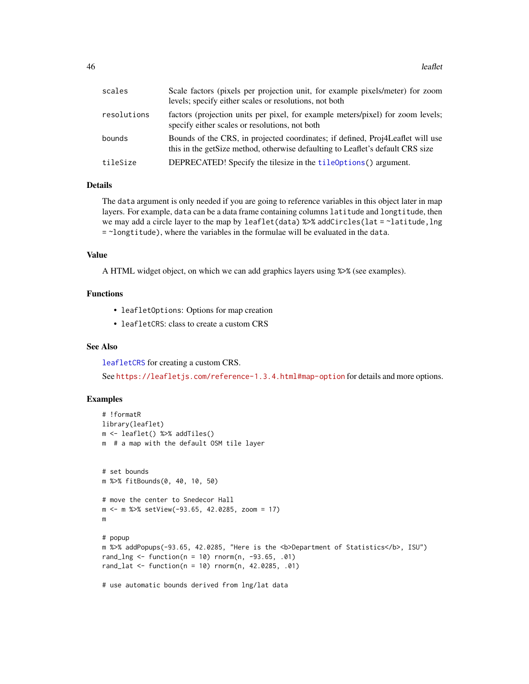<span id="page-45-0"></span>

| scales      | Scale factors (pixels per projection unit, for example pixels/meter) for zoom<br>levels; specify either scales or resolutions, not both                           |
|-------------|-------------------------------------------------------------------------------------------------------------------------------------------------------------------|
| resolutions | factors (projection units per pixel, for example meters/pixel) for zoom levels;<br>specify either scales or resolutions, not both                                 |
| bounds      | Bounds of the CRS, in projected coordinates; if defined, Proj4Leaflet will use<br>this in the get Size method, otherwise defaulting to Leaflet's default CRS size |
| tileSize    | DEPRECATED! Specify the tilesize in the tileOptions() argument.                                                                                                   |

#### Details

The data argument is only needed if you are going to reference variables in this object later in map layers. For example, data can be a data frame containing columns latitude and longtitude, then we may add a circle layer to the map by leaflet(data) %>% addCircles(lat = ~latitude, lng = ~longtitude), where the variables in the formulae will be evaluated in the data.

#### Value

A HTML widget object, on which we can add graphics layers using %>% (see examples).

## Functions

- leafletOptions: Options for map creation
- leafletCRS: class to create a custom CRS

## See Also

[leafletCRS](#page-43-2) for creating a custom CRS.

See <https://leafletjs.com/reference-1.3.4.html#map-option> for details and more options.

## Examples

```
# !formatR
library(leaflet)
m <- leaflet() %>% addTiles()
m # a map with the default OSM tile layer
# set bounds
m %>% fitBounds(0, 40, 10, 50)
# move the center to Snedecor Hall
m <- m %>% setView(-93.65, 42.0285, zoom = 17)
m
# popup
m %>% addPopups(-93.65, 42.0285, "Here is the <b>Department of Statistics</b>, ISU")
rand_lng <- function(n = 10) rnorm(n, -93.65, .01)rand_lat <- function(n = 10) rnorm(n, 42.0285, .01)
# use automatic bounds derived from lng/lat data
```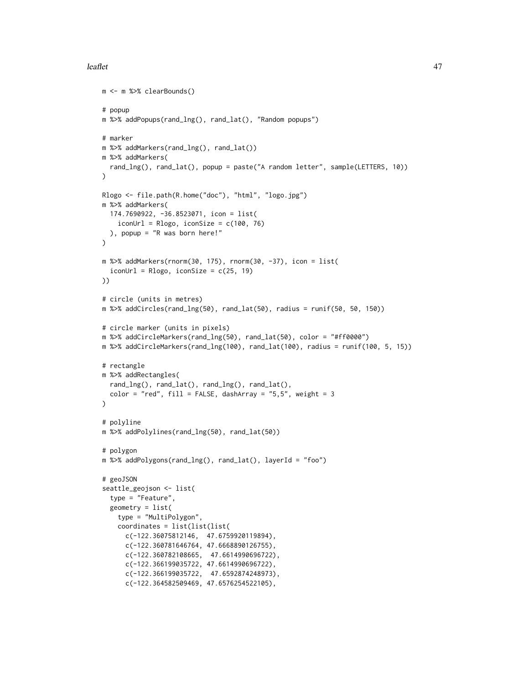#### leaflet the contract of the contract of the contract of the contract of the contract of the contract of the contract of the contract of the contract of the contract of the contract of the contract of the contract of the co

```
m <- m %>% clearBounds()
# popup
m %>% addPopups(rand_lng(), rand_lat(), "Random popups")
# marker
m %>% addMarkers(rand_lng(), rand_lat())
m %>% addMarkers(
  rand_lng(), rand_lat(), popup = paste("A random letter", sample(LETTERS, 10))
\lambdaRlogo <- file.path(R.home("doc"), "html", "logo.jpg")
m %>% addMarkers(
  174.7690922, -36.8523071, icon = list(
    iconUrl = Rlogo, iconSize = c(100, 76)), popup = "R was born here!"
\lambdam %>% addMarkers(rnorm(30, 175), rnorm(30, -37), icon = list(
  iconUr1 = Rlogo, iconSize = c(25, 19)))
# circle (units in metres)
m %>% addCircles(rand_lng(50), rand_lat(50), radius = runif(50, 50, 150))
# circle marker (units in pixels)
m %>% addCircleMarkers(rand_lng(50), rand_lat(50), color = "#ff0000")
m %>% addCircleMarkers(rand_lng(100), rand_lat(100), radius = runif(100, 5, 15))
# rectangle
m %>% addRectangles(
 rand_lng(), rand_lat(), rand_lng(), rand_lat(),
  color = "red", fill = FALSE, dashArray = "5,5", weight = 3\lambda# polyline
m %>% addPolylines(rand_lng(50), rand_lat(50))
# polygon
m %>% addPolygons(rand_lng(), rand_lat(), layerId = "foo")
# geoJSON
seattle_geojson <- list(
  type = "Feature",
  geometry = list(
    type = "MultiPolygon",
    coordinates = list(list(list(
      c(-122.36075812146, 47.6759920119894),
      c(-122.360781646764, 47.6668890126755),
      c(-122.360782108665, 47.6614990696722),
      c(-122.366199035722, 47.6614990696722),
      c(-122.366199035722, 47.6592874248973),
      c(-122.364582509469, 47.6576254522105),
```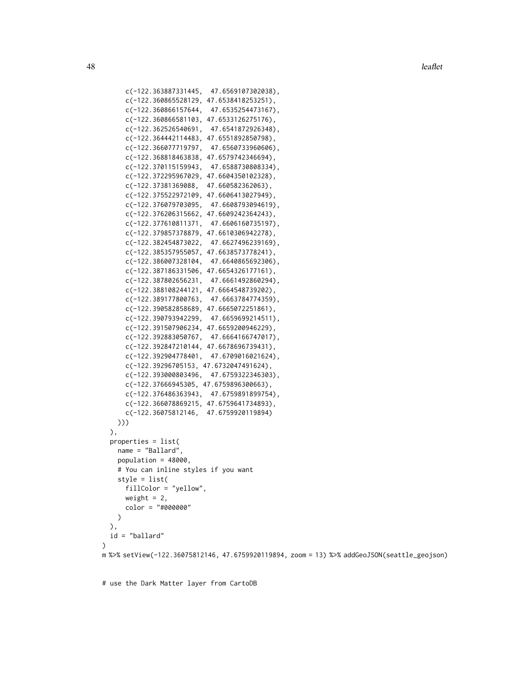**48** leaflet

```
c(-122.363887331445, 47.6569107302038),
     c(-122.360865528129, 47.6538418253251),
     c(-122.360866157644, 47.6535254473167),
     c(-122.360866581103, 47.6533126275176),
      c(-122.362526540691, 47.6541872926348),
      c(-122.364442114483, 47.6551892850798),
      c(-122.366077719797, 47.6560733960606),
     c(-122.368818463838, 47.6579742346694),
     c(-122.370115159943, 47.6588730808334),
     c(-122.372295967029, 47.6604350102328),
      c(-122.37381369088, 47.660582362063),
      c(-122.375522972109, 47.6606413027949),
     c(-122.376079703095, 47.6608793094619),
     c(-122.376206315662, 47.6609242364243),
     c(-122.377610811371, 47.6606160735197),
     c(-122.379857378879, 47.6610306942278),
     c(-122.382454873022, 47.6627496239169),
      c(-122.385357955057, 47.6638573778241),
      c(-122.386007328104, 47.6640865692306),
      c(-122.387186331506, 47.6654326177161),
     c(-122.387802656231, 47.6661492860294),
     c(-122.388108244121, 47.6664548739202),
     c(-122.389177800763, 47.6663784774359),
      c(-122.390582858689, 47.6665072251861),
     c(-122.390793942299, 47.6659699214511),
     c(-122.391507906234, 47.6659200946229),
     c(-122.392883050767, 47.6664166747017),
     c(-122.392847210144, 47.6678696739431),
     c(-122.392904778401, 47.6709016021624),
     c(-122.39296705153, 47.6732047491624),
     c(-122.393000803496, 47.6759322346303),
     c(-122.37666945305, 47.6759896300663),
     c(-122.376486363943, 47.6759891899754),
     c(-122.366078869215, 47.6759641734893),
     c(-122.36075812146, 47.6759920119894)
   )))
 ),
 properties = list(
   name = "Ballard",
   population = 48000,
    # You can inline styles if you want
   style = list(
     fillColor = "yellow",
     weight = 2,
     color = "#000000"
   \lambda),
 id = "ballard"
\lambdam %>% setView(-122.36075812146, 47.6759920119894, zoom = 13) %>% addGeoJSON(seattle_geojson)
```
# use the Dark Matter layer from CartoDB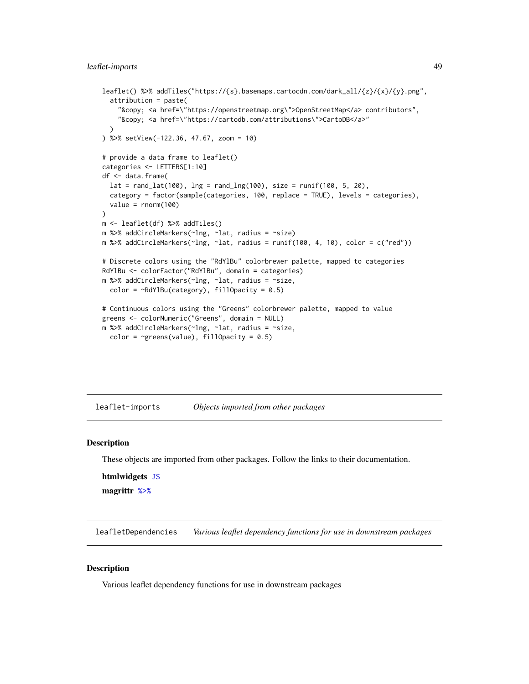## <span id="page-48-0"></span>leaflet-imports 49

```
leaflet() %>% addTiles("https://{s}.basemaps.cartocdn.com/dark_all/{z}/{x}/{y}.png",
  attribution = paste(
    "&copy; <a href=\"https://openstreetmap.org\">OpenStreetMap</a> contributors",
    "© <a href=\"https://cartodb.com/attributions\">CartoDB</a>"
  )
) %>% setView(-122.36, 47.67, zoom = 10)
# provide a data frame to leaflet()
categories <- LETTERS[1:10]
df <- data.frame(
  lat = rand\_lat(100), Ing = rand\_Ing(100), size = runif(100, 5, 20),
  category = factor(sample(categories, 100, replace = TRUE), levels = categories),
  value = rnorm(100)
)
m <- leaflet(df) %>% addTiles()
m %>% addCircleMarkers(~lng, ~lat, radius = ~size)
m %>% addCircleMarkers(~lng, ~lat, radius = runif(100, 4, 10), color = c("red"))
# Discrete colors using the "RdYlBu" colorbrewer palette, mapped to categories
RdYlBu <- colorFactor("RdYlBu", domain = categories)
m %>% addCircleMarkers(~lng, ~lat, radius = ~size,
  color = ~\simRdYlBu(category), fillOpacity = 0.5)
# Continuous colors using the "Greens" colorbrewer palette, mapped to value
greens <- colorNumeric("Greens", domain = NULL)
m %>% addCircleMarkers(~lng, ~lat, radius = ~size,
  color = \gammagreens(value), fillOpacity = 0.5)
```
leaflet-imports *Objects imported from other packages*

#### <span id="page-48-1"></span>**Description**

These objects are imported from other packages. Follow the links to their documentation.

htmlwidgets [JS](#page-48-1)

magrittr [%>%](#page-48-1)

leafletDependencies *Various leaflet dependency functions for use in downstream packages*

## **Description**

Various leaflet dependency functions for use in downstream packages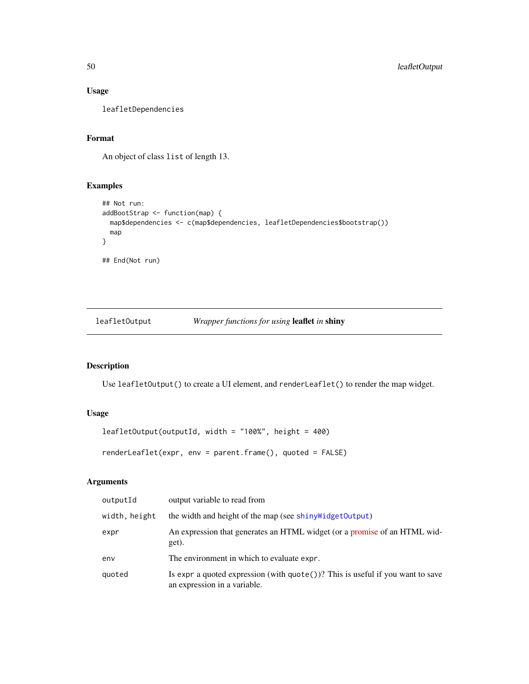## Usage

leafletDependencies

## Format

An object of class list of length 13.

## Examples

```
## Not run:
addBootStrap <- function(map) {
  map$dependencies <- c(map$dependencies, leafletDependencies$bootstrap())
  map
}
## End(Not run)
```
leafletOutput *Wrapper functions for using* leaflet *in* shiny

## Description

Use leafletOutput() to create a UI element, and renderLeaflet() to render the map widget.

## Usage

```
leafletOutput(outputId, width = "100%", height = 400)
```
renderLeaflet(expr, env = parent.frame(), quoted = FALSE)

| outputId      | output variable to read from                                                                                             |  |
|---------------|--------------------------------------------------------------------------------------------------------------------------|--|
| width, height | the width and height of the map (see shiny Widget Output)                                                                |  |
| expr          | An expression that generates an HTML widget (or a promise of an HTML wid-<br>get).                                       |  |
| env           | The environment in which to evaluate expr.                                                                               |  |
| quoted        | Is expr a quoted expression (with $\text{quote}()$ )? This is useful if you want to save<br>an expression in a variable. |  |

<span id="page-49-0"></span>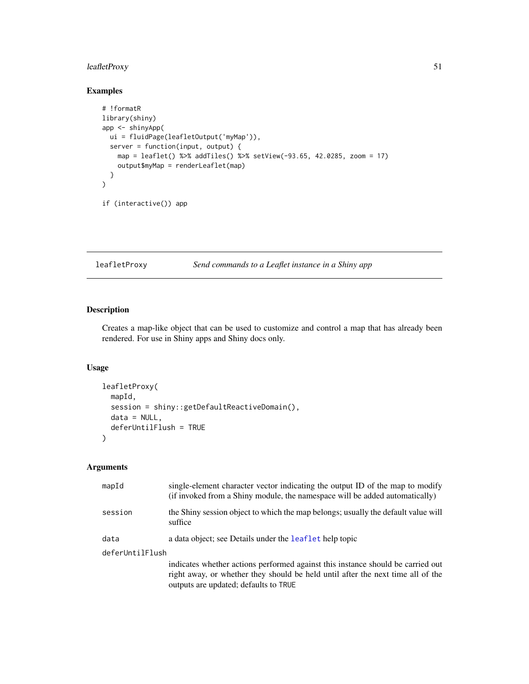## <span id="page-50-0"></span>leafletProxy 51

## Examples

```
# !formatR
library(shiny)
app <- shinyApp(
 ui = fluidPage(leafletOutput('myMap')),
  server = function(input, output) {
    map = leaflet() %>% addTiles() %>% setView(-93.65, 42.0285, zoom = 17)
    output$myMap = renderLeaflet(map)
  }
\overline{)}if (interactive()) app
```
#### <span id="page-50-1"></span>leafletProxy *Send commands to a Leaflet instance in a Shiny app*

## Description

Creates a map-like object that can be used to customize and control a map that has already been rendered. For use in Shiny apps and Shiny docs only.

## Usage

```
leafletProxy(
  mapId,
  session = shiny::getDefaultReactiveDomain(),
 data = NULL,deferUntilFlush = TRUE
)
```

| mapId           | single-element character vector indicating the output ID of the map to modify<br>(if invoked from a Shiny module, the namespace will be added automatically)                                                |  |
|-----------------|-------------------------------------------------------------------------------------------------------------------------------------------------------------------------------------------------------------|--|
| session         | the Shiny session object to which the map belongs; usually the default value will<br>suffice                                                                                                                |  |
| data            | a data object; see Details under the leaflet help topic                                                                                                                                                     |  |
| deferUntilFlush |                                                                                                                                                                                                             |  |
|                 | indicates whether actions performed against this instance should be carried out<br>right away, or whether they should be held until after the next time all of the<br>outputs are updated; defaults to TRUE |  |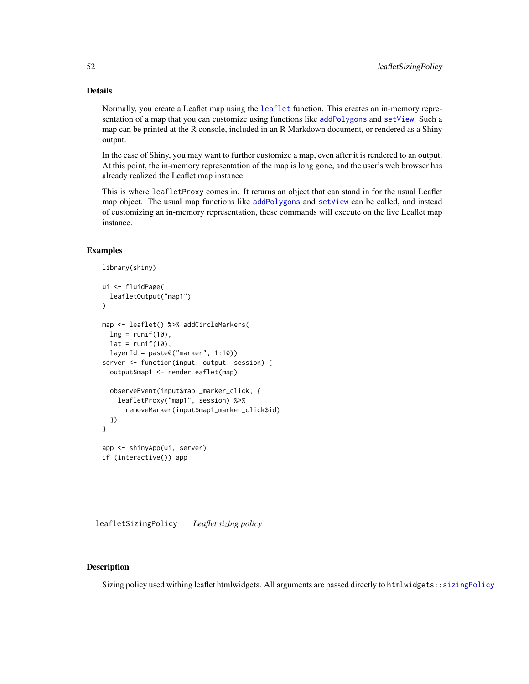## Details

Normally, you create a Leaflet map using the [leaflet](#page-43-1) function. This creates an in-memory representation of a map that you can customize using functions like [addPolygons](#page-3-1) and [setView](#page-57-1). Such a map can be printed at the R console, included in an R Markdown document, or rendered as a Shiny output.

In the case of Shiny, you may want to further customize a map, even after it is rendered to an output. At this point, the in-memory representation of the map is long gone, and the user's web browser has already realized the Leaflet map instance.

This is where leafletProxy comes in. It returns an object that can stand in for the usual Leaflet map object. The usual map functions like [addPolygons](#page-3-1) and [setView](#page-57-1) can be called, and instead of customizing an in-memory representation, these commands will execute on the live Leaflet map instance.

#### Examples

```
library(shiny)
ui <- fluidPage(
  leafletOutput("map1")
)
map <- leaflet() %>% addCircleMarkers(
  ln g = runif(10),
  lat = runif(10),
  layerId = paste@("marker", 1:10))server <- function(input, output, session) {
  output$map1 <- renderLeaflet(map)
  observeEvent(input$map1_marker_click, {
    leafletProxy("map1", session) %>%
      removeMarker(input$map1_marker_click$id)
  })
}
app <- shinyApp(ui, server)
if (interactive()) app
```
<span id="page-51-1"></span>leafletSizingPolicy *Leaflet sizing policy*

## Description

Sizing policy used withing leaflet htmlwidgets. All arguments are passed directly to htmlwidgets:[:sizingPolicy](#page-0-0)

<span id="page-51-0"></span>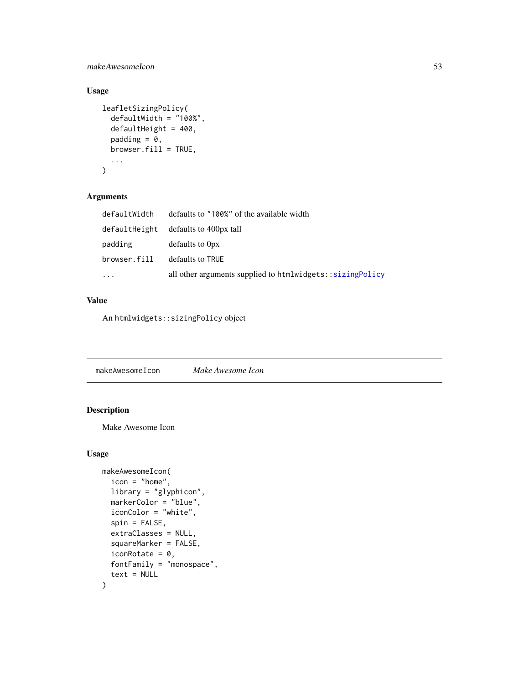<span id="page-52-0"></span>makeAwesomeIcon 53

## Usage

```
leafletSizingPolicy(
  defaultWidth = "100%",
 defaultHeight = 400,padding = 0,
 browser.fill = TRUE,
  ...
)
```
## Arguments

| defaultWidth | defaults to "100%" of the available width                 |
|--------------|-----------------------------------------------------------|
|              | defaultHeight defaults to 400px tall                      |
| padding      | defaults to 0px                                           |
| browser.fill | defaults to TRUE                                          |
| $\ddots$ .   | all other arguments supplied to htmlwidgets::sizingPolicy |

## Value

An htmlwidgets::sizingPolicy object

<span id="page-52-1"></span>makeAwesomeIcon *Make Awesome Icon*

## Description

Make Awesome Icon

## Usage

```
makeAwesomeIcon(
  icon = "home",
 library = "glyphicon",
 markerColor = "blue",
  iconColor = "white",
  spin = FALSE,
  extraClasses = NULL,
  squareMarker = FALSE,
  iconRotate = 0,
  fontFamily = "monospace",
  text = NULL\mathcal{L}
```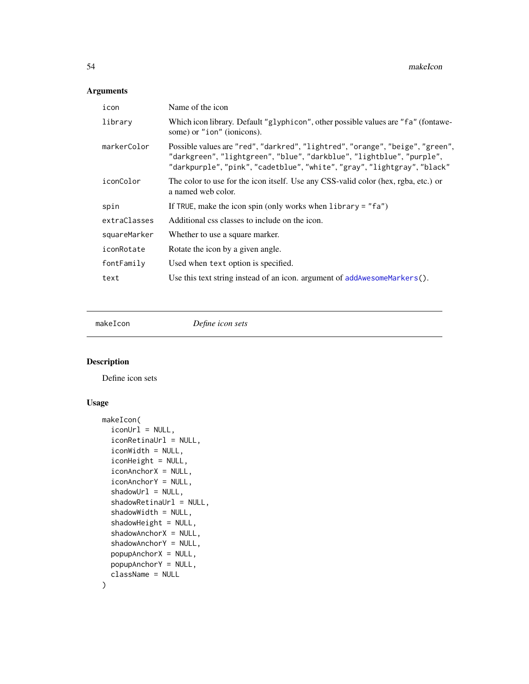## <span id="page-53-0"></span>Arguments

| icon         | Name of the icon                                                                                                                                                                                                                   |  |
|--------------|------------------------------------------------------------------------------------------------------------------------------------------------------------------------------------------------------------------------------------|--|
| library      | Which icon library. Default "glyphicon", other possible values are "fa" (fontawe-<br>some) or "ion" (ionicons).                                                                                                                    |  |
| markerColor  | Possible values are "red", "darkred", "lightred", "orange", "beige", "green",<br>"darkgreen", "lightgreen", "blue", "darkblue", "lightblue", "purple",<br>"darkpurple", "pink", "cadetblue", "white", "gray", "lightgray", "black" |  |
| iconColor    | The color to use for the icon itself. Use any CSS-valid color (hex, rgba, etc.) or<br>a named web color.                                                                                                                           |  |
| spin         | If TRUE, make the icon spin (only works when $\text{library} = "fa"$ )                                                                                                                                                             |  |
| extraClasses | Additional css classes to include on the icon.                                                                                                                                                                                     |  |
| squareMarker | Whether to use a square marker.                                                                                                                                                                                                    |  |
| iconRotate   | Rotate the icon by a given angle.                                                                                                                                                                                                  |  |
| fontFamily   | Used when text option is specified.                                                                                                                                                                                                |  |
| text         | Use this text string instead of an icon. argument of addAwesomeMarkers().                                                                                                                                                          |  |
|              |                                                                                                                                                                                                                                    |  |

<span id="page-53-1"></span>makeIcon *Define icon sets*

## Description

Define icon sets

## Usage

```
makeIcon(
  iconUrl = NULL,
  iconRetinaUrl = NULL,
  iconWidth = NULL,
  iconHeight = NULL,
  iconAnchorX = NULL,
  iconAnchorY = NULL,
  shadowUr1 = NULL,shadowRetinaUrl = NULL,
  shadowWidth = NULL,
  shadowHeight = NULL,
  shadowAnchorX = NULL,
  shadowAnchorY = NULL,
  popupAnchorX = NULL,
 popupAnchorY = NULL,
  className = NULL
\mathcal{L}
```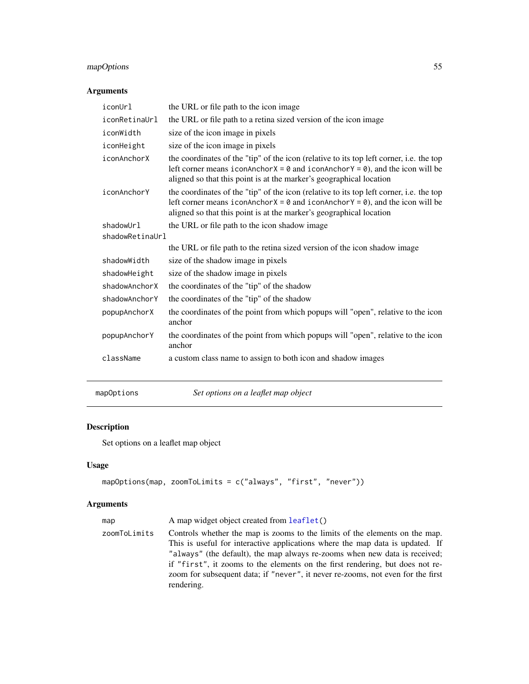## <span id="page-54-0"></span>mapOptions 55

## Arguments

| iconUrl              | the URL or file path to the icon image                                                                                                                                                                                                                                       |  |  |
|----------------------|------------------------------------------------------------------------------------------------------------------------------------------------------------------------------------------------------------------------------------------------------------------------------|--|--|
| <i>iconRetinaUrl</i> | the URL or file path to a retina sized version of the icon image                                                                                                                                                                                                             |  |  |
| iconWidth            | size of the icon image in pixels                                                                                                                                                                                                                                             |  |  |
| iconHeight           | size of the icon image in pixels                                                                                                                                                                                                                                             |  |  |
| iconAnchorX          | the coordinates of the "tip" of the icon (relative to its top left corner, i.e. the top<br>left corner means iconAnchor $X = \emptyset$ and iconAnchor $Y = \emptyset$ ), and the icon will be<br>aligned so that this point is at the marker's geographical location        |  |  |
| iconAnchorY          | the coordinates of the "tip" of the icon (relative to its top left corner, <i>i.e.</i> the top<br>left corner means iconAnchor $X = \emptyset$ and iconAnchor $Y = \emptyset$ ), and the icon will be<br>aligned so that this point is at the marker's geographical location |  |  |
| shadowUrl            | the URL or file path to the icon shadow image                                                                                                                                                                                                                                |  |  |
| shadowRetinaUrl      |                                                                                                                                                                                                                                                                              |  |  |
|                      | the URL or file path to the retina sized version of the icon shadow image                                                                                                                                                                                                    |  |  |
| shadowWidth          | size of the shadow image in pixels                                                                                                                                                                                                                                           |  |  |
| shadowHeight         | size of the shadow image in pixels                                                                                                                                                                                                                                           |  |  |
| shadowAnchorX        | the coordinates of the "tip" of the shadow                                                                                                                                                                                                                                   |  |  |
| shadowAnchorY        | the coordinates of the "tip" of the shadow                                                                                                                                                                                                                                   |  |  |
| popupAnchorX         | the coordinates of the point from which popups will "open", relative to the icon<br>anchor                                                                                                                                                                                   |  |  |
| popupAnchorY         | the coordinates of the point from which popups will "open", relative to the icon<br>anchor                                                                                                                                                                                   |  |  |
| className            | a custom class name to assign to both icon and shadow images                                                                                                                                                                                                                 |  |  |

mapOptions *Set options on a leaflet map object*

# Description

Set options on a leaflet map object

## Usage

```
mapOptions(map, zoomToLimits = c("always", "first", "never"))
```

| map          | A map widget object created from leaflet()                                                                                                                                                                                                                                                                                                                                                                                   |
|--------------|------------------------------------------------------------------------------------------------------------------------------------------------------------------------------------------------------------------------------------------------------------------------------------------------------------------------------------------------------------------------------------------------------------------------------|
| zoomToLimits | Controls whether the map is zooms to the limits of the elements on the map.<br>This is useful for interactive applications where the map data is updated. If<br>"always" (the default), the map always re-zooms when new data is received;<br>if "first", it zooms to the elements on the first rendering, but does not re-<br>zoom for subsequent data; if "never", it never re-zooms, not even for the first<br>rendering. |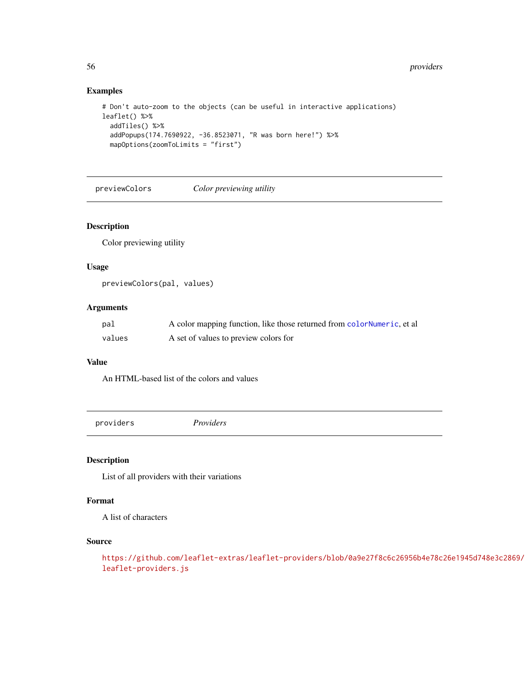## Examples

```
# Don't auto-zoom to the objects (can be useful in interactive applications)
leaflet() %>%
  addTiles() %>%
  addPopups(174.7690922, -36.8523071, "R was born here!") %>%
  mapOptions(zoomToLimits = "first")
```
previewColors *Color previewing utility*

## Description

Color previewing utility

#### Usage

```
previewColors(pal, values)
```
#### Arguments

| pal    | A color mapping function, like those returned from color Numeric, et all |
|--------|--------------------------------------------------------------------------|
| values | A set of values to preview colors for                                    |

## Value

An HTML-based list of the colors and values

<span id="page-55-1"></span>providers *Providers*

## Description

List of all providers with their variations

## Format

A list of characters

## Source

```
https://github.com/leaflet-extras/leaflet-providers/blob/0a9e27f8c6c26956b4e78c26e1945d748e3c2869/
leaflet-providers.js
```
<span id="page-55-0"></span>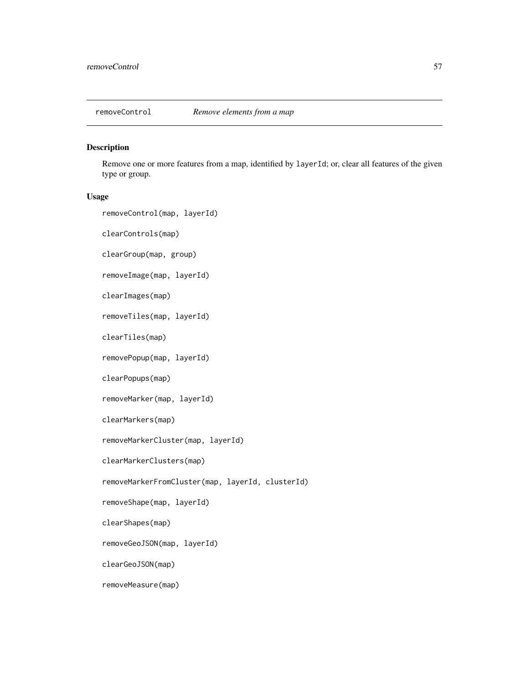<span id="page-56-1"></span><span id="page-56-0"></span>

Remove one or more features from a map, identified by layerId; or, clear all features of the given type or group.

## Usage

removeControl(map, layerId)

clearControls(map)

clearGroup(map, group)

removeImage(map, layerId)

clearImages(map)

removeTiles(map, layerId)

clearTiles(map)

removePopup(map, layerId)

clearPopups(map)

removeMarker(map, layerId)

clearMarkers(map)

removeMarkerCluster(map, layerId)

clearMarkerClusters(map)

removeMarkerFromCluster(map, layerId, clusterId)

removeShape(map, layerId)

clearShapes(map)

removeGeoJSON(map, layerId)

clearGeoJSON(map)

removeMeasure(map)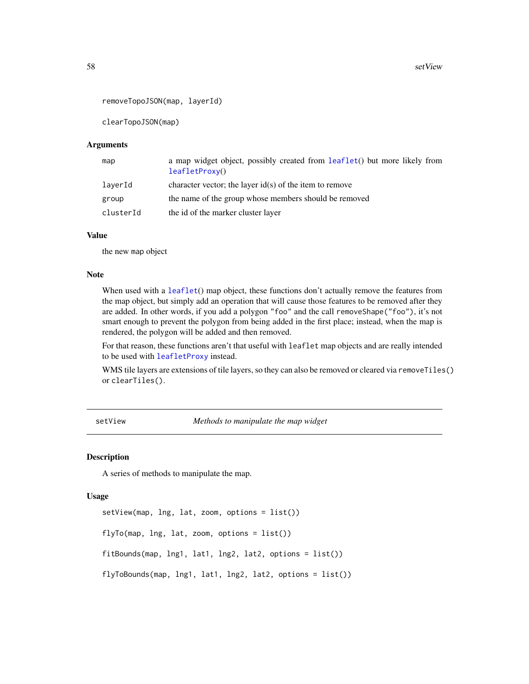```
removeTopoJSON(map, layerId)
```
clearTopoJSON(map)

#### Arguments

| map       | a map widget object, possibly created from leaflet() but more likely from<br>leafletProxy() |
|-----------|---------------------------------------------------------------------------------------------|
| laverId   | character vector; the layer $id(s)$ of the item to remove                                   |
| group     | the name of the group whose members should be removed                                       |
| clusterId | the id of the marker cluster layer                                                          |

#### Value

the new map object

#### Note

When used with a [leaflet](#page-43-1)() map object, these functions don't actually remove the features from the map object, but simply add an operation that will cause those features to be removed after they are added. In other words, if you add a polygon "foo" and the call removeShape("foo"), it's not smart enough to prevent the polygon from being added in the first place; instead, when the map is rendered, the polygon will be added and then removed.

For that reason, these functions aren't that useful with leaflet map objects and are really intended to be used with [leafletProxy](#page-50-1) instead.

WMS tile layers are extensions of tile layers, so they can also be removed or cleared via removeTiles() or clearTiles().

<span id="page-57-1"></span>setView *Methods to manipulate the map widget*

#### Description

A series of methods to manipulate the map.

#### Usage

```
setView(map, lng, lat, zoom, options = list())
flyTo(map, Ing, lat, zoom, options = list())fitBounds(map, lng1, lat1, lng2, lat2, options = list())
flyToBounds(map, lng1, lat1, lng2, lat2, options = list())
```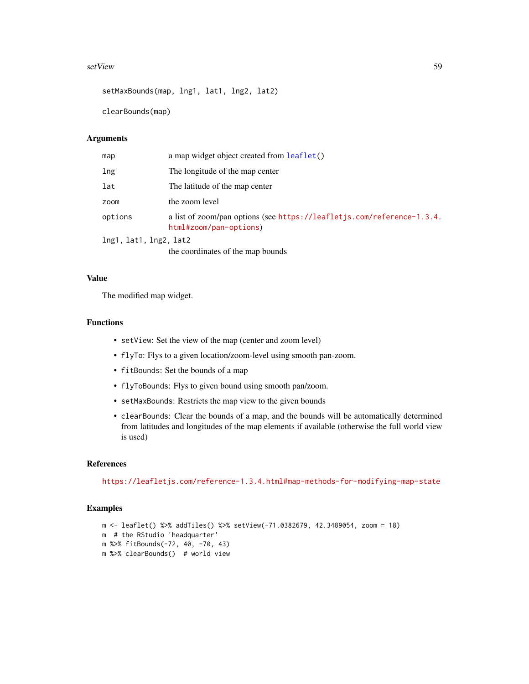#### <span id="page-58-0"></span>setView 59

```
setMaxBounds(map, lng1, lat1, lng2, lat2)
```
clearBounds(map)

## Arguments

| map                    | a map widget object created from leaflet()                                                       |  |
|------------------------|--------------------------------------------------------------------------------------------------|--|
| lng                    | The longitude of the map center                                                                  |  |
| lat                    | The latitude of the map center                                                                   |  |
| zoom                   | the zoom level                                                                                   |  |
| options                | a list of zoom/pan options (see https://leafletjs.com/reference-1.3.4.<br>html#zoom/pan-options) |  |
| lng1, lat1, lng2, lat2 |                                                                                                  |  |
|                        | the coordinates of the map bounds                                                                |  |

#### Value

The modified map widget.

#### Functions

- setView: Set the view of the map (center and zoom level)
- flyTo: Flys to a given location/zoom-level using smooth pan-zoom.
- fitBounds: Set the bounds of a map
- flyToBounds: Flys to given bound using smooth pan/zoom.
- setMaxBounds: Restricts the map view to the given bounds
- clearBounds: Clear the bounds of a map, and the bounds will be automatically determined from latitudes and longitudes of the map elements if available (otherwise the full world view is used)

## References

<https://leafletjs.com/reference-1.3.4.html#map-methods-for-modifying-map-state>

## Examples

```
m <- leaflet() %>% addTiles() %>% setView(-71.0382679, 42.3489054, zoom = 18)
m # the RStudio 'headquarter'
m %>% fitBounds(-72, 40, -70, 43)
m %>% clearBounds() # world view
```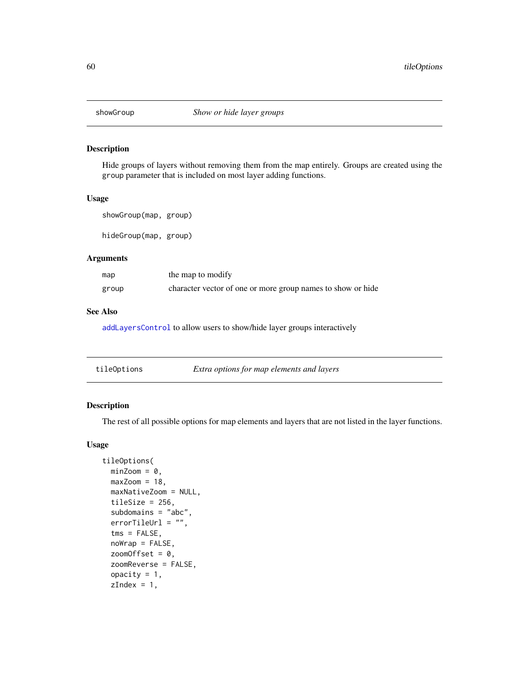<span id="page-59-0"></span>

Hide groups of layers without removing them from the map entirely. Groups are created using the group parameter that is included on most layer adding functions.

## Usage

showGroup(map, group)

hideGroup(map, group)

#### Arguments

| map   | the map to modify                                           |
|-------|-------------------------------------------------------------|
| group | character vector of one or more group names to show or hide |

#### See Also

[addLayersControl](#page-12-1) to allow users to show/hide layer groups interactively

<span id="page-59-2"></span>

| tileOptions | Extra options for map elements and layers |  |
|-------------|-------------------------------------------|--|
|-------------|-------------------------------------------|--|

## <span id="page-59-1"></span>Description

The rest of all possible options for map elements and layers that are not listed in the layer functions.

#### Usage

```
tileOptions(
 minZoom = 0,
 maxZoom = 18,
 maxNativeZoom = NULL,
  tileSize = 256,
  subdomains = "abc",
  errorTileUrl = ",
  tms = FALSE,
  noWrap = FALSE,
  zoomOffset = 0,
  zoomReverse = FALSE,
  opacity = 1,
  zIndex = 1,
```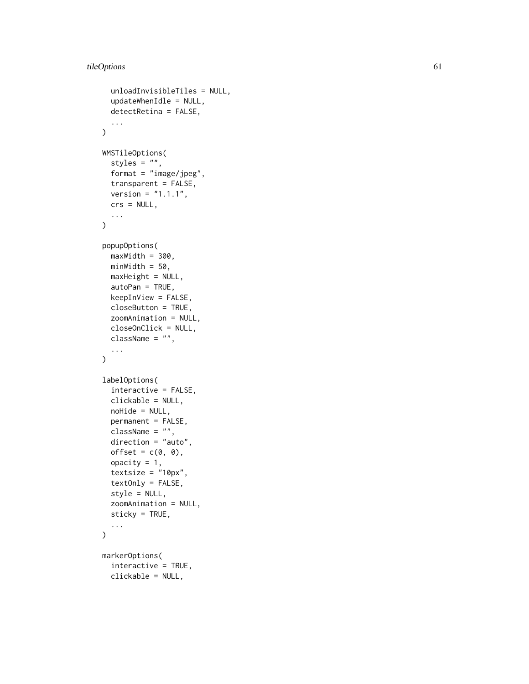```
unloadInvisibleTiles = NULL,
  updateWhenIdle = NULL,
  detectRetina = FALSE,
  ...
\mathcal{L}WMSTileOptions(
  styles = ",
  format = "image/jpeg",
  transparent = FALSE,
  version = "1.1.1",crs = NULL,
  ...
\mathcal{L}popupOptions(
  maxWidth = 300,minWidth = 50,maxHeight = NULL,autoPan = TRUE,keepInView = FALSE,
  closeButton = TRUE,
  zoomAnimation = NULL,
  closeOnClick = NULL,
  className = ",
  ...
\mathcal{L}labelOptions(
  interactive = FALSE,
  clickable = NULL,
 noHide = NULL,permanent = FALSE,
  className = ",
  direction = "auto",
  offset = c(0, 0),opacity = 1,
  textsize = "10px",
  textOnly = FALSE,
  style = NULL,
  zoomAnimation = NULL,
  sticky = TRUE,
  ...
\mathcal{L}markerOptions(
  interactive = TRUE,
  clickable = NULL,
```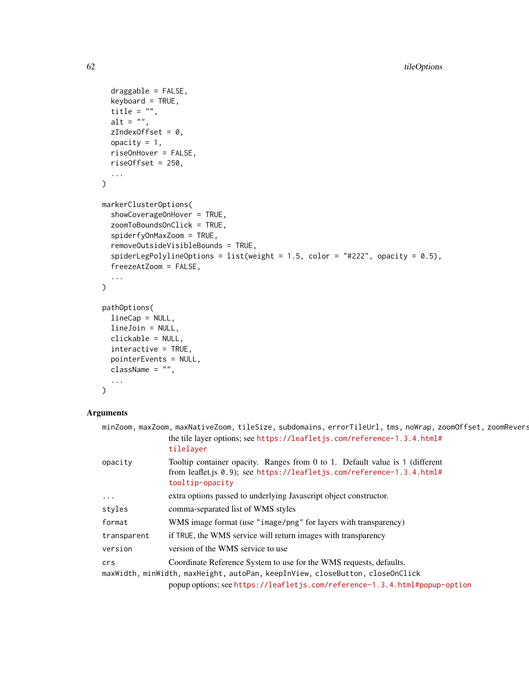```
draggable = FALSE,
  keyboard = TRUE,
  title = ",
 alt = ",
  zIndexOffset = 0,
 opacity = 1,riseOnHover = FALSE,
 riseOffset = 250,
  ...
\mathcal{L}markerClusterOptions(
  showCoverageOnHover = TRUE,
  zoomToBoundsOnClick = TRUE,
  spiderfyOnMaxZoom = TRUE,
  removeOutsideVisibleBounds = TRUE,
  spiderLegPolylineOptions = list(weight = 1.5, color = "#222", opacity = 0.5),
  freezeAtZoom = FALSE,
  ...
\mathcal{L}pathOptions(
 lineCap = NULL,
 lineJoin = NULL,
 clickable = NULL,
  interactive = TRUE,
 pointerEvents = NULL,
 className = ",
  ...
)
```

|                                                                               | minZoom, maxZoom, maxNativeZoom, tileSize, subdomains, errorTileUrl, tms, noWrap, zoomOffset, zoomRevers                                                                 |  |  |
|-------------------------------------------------------------------------------|--------------------------------------------------------------------------------------------------------------------------------------------------------------------------|--|--|
|                                                                               | the tile layer options; see https://leafletjs.com/reference-1.3.4.html#<br>tilelaver                                                                                     |  |  |
| opacity                                                                       | Tooltip container opacity. Ranges from 0 to 1. Default value is 1 (different<br>from leaflet.js 0.9); see https://leafletjs.com/reference-1.3.4.html#<br>tooltip-opacity |  |  |
| $\cdots$                                                                      | extra options passed to underlying Javascript object constructor.                                                                                                        |  |  |
| styles                                                                        | comma-separated list of WMS styles                                                                                                                                       |  |  |
| format                                                                        | WMS image format (use "image/png" for layers with transparency)                                                                                                          |  |  |
| transparent                                                                   | if TRUE, the WMS service will return images with transparency                                                                                                            |  |  |
| version                                                                       | version of the WMS service to use                                                                                                                                        |  |  |
| crs                                                                           | Coordinate Reference System to use for the WMS requests, defaults.                                                                                                       |  |  |
| maxWidth, minWidth, maxHeight, autoPan, keepInView, closeButton, closeOnClick |                                                                                                                                                                          |  |  |
|                                                                               | popup options; see https://leafletjs.com/reference-1.3.4.html#popup-option                                                                                               |  |  |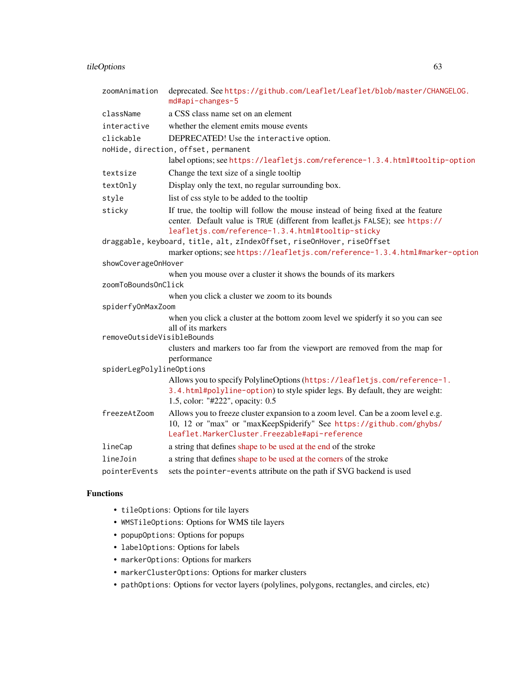## tileOptions 63

| zoomAnimation              | deprecated. See https://github.com/Leaflet/Leaflet/blob/master/CHANGELOG.<br>md#api-changes-5                                                                                                                          |  |  |
|----------------------------|------------------------------------------------------------------------------------------------------------------------------------------------------------------------------------------------------------------------|--|--|
| className                  | a CSS class name set on an element                                                                                                                                                                                     |  |  |
| interactive                | whether the element emits mouse events                                                                                                                                                                                 |  |  |
| clickable                  | DEPRECATED! Use the interactive option.                                                                                                                                                                                |  |  |
|                            | noHide, direction, offset, permanent                                                                                                                                                                                   |  |  |
|                            | label options; see https://leafletjs.com/reference-1.3.4.html#tooltip-option                                                                                                                                           |  |  |
| textsize                   | Change the text size of a single tooltip                                                                                                                                                                               |  |  |
| textOnly                   | Display only the text, no regular surrounding box.                                                                                                                                                                     |  |  |
| style                      | list of css style to be added to the tooltip                                                                                                                                                                           |  |  |
| sticky                     | If true, the tooltip will follow the mouse instead of being fixed at the feature<br>center. Default value is TRUE (different from leaflet.js FALSE); see https://<br>leafletjs.com/reference-1.3.4.html#tooltip-sticky |  |  |
|                            | draggable, keyboard, title, alt, zIndexOffset, riseOnHover, riseOffset                                                                                                                                                 |  |  |
|                            | marker options; see https://leafletjs.com/reference-1.3.4.html#marker-option                                                                                                                                           |  |  |
| showCoverageOnHover        |                                                                                                                                                                                                                        |  |  |
| zoomToBoundsOnClick        | when you mouse over a cluster it shows the bounds of its markers                                                                                                                                                       |  |  |
|                            | when you click a cluster we zoom to its bounds                                                                                                                                                                         |  |  |
| spiderfyOnMaxZoom          |                                                                                                                                                                                                                        |  |  |
| removeOutsideVisibleBounds | when you click a cluster at the bottom zoom level we spiderfy it so you can see<br>all of its markers                                                                                                                  |  |  |
|                            | clusters and markers too far from the viewport are removed from the map for<br>performance                                                                                                                             |  |  |
| spiderLegPolylineOptions   |                                                                                                                                                                                                                        |  |  |
|                            | Allows you to specify PolylineOptions (https://leafletjs.com/reference-1.<br>3.4.html#polyline-option) to style spider legs. By default, they are weight:<br>1.5, color: "#222", opacity: 0.5                          |  |  |
| freezeAtZoom               | Allows you to freeze cluster expansion to a zoom level. Can be a zoom level e.g.<br>10, 12 or "max" or "maxKeepSpiderify" See https://github.com/ghybs/<br>Leaflet.MarkerCluster.Freezable#api-reference               |  |  |
| lineCap                    | a string that defines shape to be used at the end of the stroke                                                                                                                                                        |  |  |
| lineJoin                   | a string that defines shape to be used at the corners of the stroke                                                                                                                                                    |  |  |
| pointerEvents              | sets the pointer-events attribute on the path if SVG backend is used                                                                                                                                                   |  |  |

## Functions

- tileOptions: Options for tile layers
- WMSTileOptions: Options for WMS tile layers
- popupOptions: Options for popups
- labelOptions: Options for labels
- markerOptions: Options for markers
- markerClusterOptions: Options for marker clusters
- pathOptions: Options for vector layers (polylines, polygons, rectangles, and circles, etc)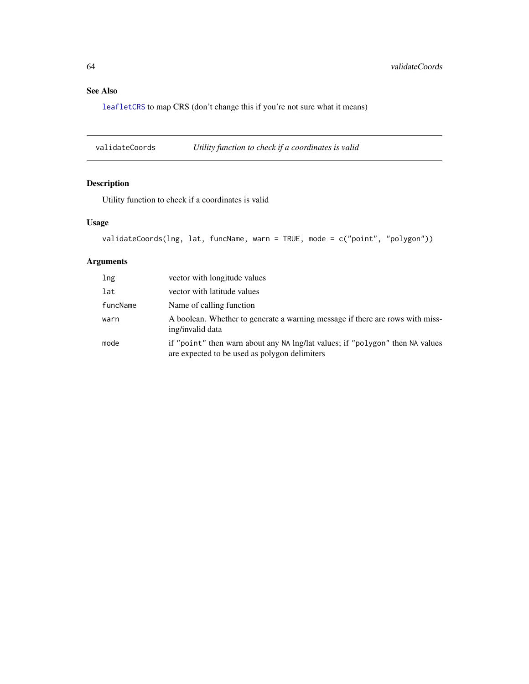## <span id="page-63-0"></span>See Also

[leafletCRS](#page-43-2) to map CRS (don't change this if you're not sure what it means)

validateCoords *Utility function to check if a coordinates is valid*

## Description

Utility function to check if a coordinates is valid

## Usage

```
validateCoords(lng, lat, funcName, warn = TRUE, mode = c("point", "polygon"))
```

| lng      | vector with longitude values                                                                                                   |
|----------|--------------------------------------------------------------------------------------------------------------------------------|
| lat      | vector with latitude values                                                                                                    |
| funcName | Name of calling function                                                                                                       |
| warn     | A boolean. Whether to generate a warning message if there are rows with miss-<br>ing/invalid data                              |
| mode     | if "point" then warn about any NA lng/lat values; if "polygon" then NA values<br>are expected to be used as polygon delimiters |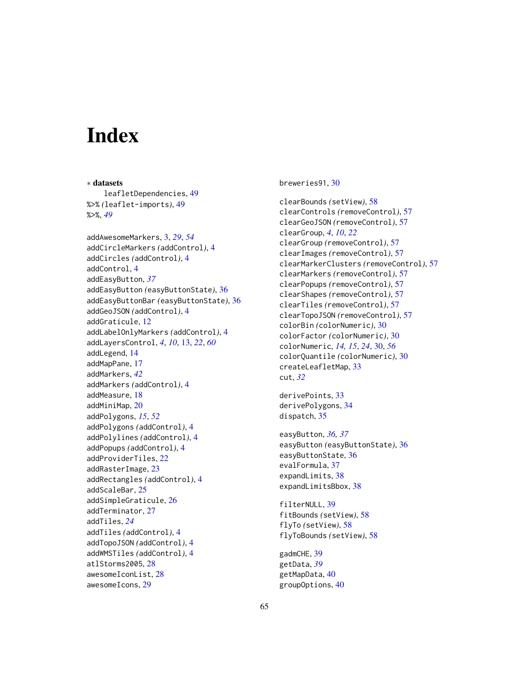# <span id="page-64-0"></span>**Index**

∗ datasets leafletDependencies, [49](#page-48-0) %>% *(*leaflet-imports*)*, [49](#page-48-0) %>%, *[49](#page-48-0)*

addAwesomeMarkers, [3,](#page-2-0) *[29](#page-28-0)*, *[54](#page-53-0)* addCircleMarkers *(*addControl*)*, [4](#page-3-0) addCircles *(*addControl*)*, [4](#page-3-0) addControl, [4](#page-3-0) addEasyButton, *[37](#page-36-0)* addEasyButton *(*easyButtonState*)*, [36](#page-35-0) addEasyButtonBar *(*easyButtonState*)*, [36](#page-35-0) addGeoJSON *(*addControl*)*, [4](#page-3-0) addGraticule, [12](#page-11-0) addLabelOnlyMarkers *(*addControl*)*, [4](#page-3-0) addLayersControl, *[4](#page-3-0)*, *[10](#page-9-0)*, [13,](#page-12-0) *[22](#page-21-0)*, *[60](#page-59-0)* addLegend, [14](#page-13-0) addMapPane, [17](#page-16-0) addMarkers, *[42](#page-41-0)* addMarkers *(*addControl*)*, [4](#page-3-0) addMeasure, [18](#page-17-0) addMiniMap, [20](#page-19-0) addPolygons, *[15](#page-14-0)*, *[52](#page-51-0)* addPolygons *(*addControl*)*, [4](#page-3-0) addPolylines *(*addControl*)*, [4](#page-3-0) addPopups *(*addControl*)*, [4](#page-3-0) addProviderTiles, [22](#page-21-0) addRasterImage, [23](#page-22-0) addRectangles *(*addControl*)*, [4](#page-3-0) addScaleBar, [25](#page-24-0) addSimpleGraticule, [26](#page-25-0) addTerminator, [27](#page-26-0) addTiles, *[24](#page-23-0)* addTiles *(*addControl*)*, [4](#page-3-0) addTopoJSON *(*addControl*)*, [4](#page-3-0) addWMSTiles *(*addControl*)*, [4](#page-3-0) atlStorms2005, [28](#page-27-0) awesomeIconList, [28](#page-27-0) awesomeIcons, [29](#page-28-0)

breweries91, [30](#page-29-0)

clearBounds *(*setView*)*, [58](#page-57-0) clearControls *(*removeControl*)*, [57](#page-56-0) clearGeoJSON *(*removeControl*)*, [57](#page-56-0) clearGroup, *[4](#page-3-0)*, *[10](#page-9-0)*, *[22](#page-21-0)* clearGroup *(*removeControl*)*, [57](#page-56-0) clearImages *(*removeControl*)*, [57](#page-56-0) clearMarkerClusters *(*removeControl*)*, [57](#page-56-0) clearMarkers *(*removeControl*)*, [57](#page-56-0) clearPopups *(*removeControl*)*, [57](#page-56-0) clearShapes *(*removeControl*)*, [57](#page-56-0) clearTiles *(*removeControl*)*, [57](#page-56-0) clearTopoJSON *(*removeControl*)*, [57](#page-56-0) colorBin *(*colorNumeric*)*, [30](#page-29-0) colorFactor *(*colorNumeric*)*, [30](#page-29-0) colorNumeric, *[14,](#page-13-0) [15](#page-14-0)*, *[24](#page-23-0)*, [30,](#page-29-0) *[56](#page-55-0)* colorQuantile *(*colorNumeric*)*, [30](#page-29-0) createLeafletMap, [33](#page-32-0) cut, *[32](#page-31-0)*

derivePoints, [33](#page-32-0) derivePolygons, [34](#page-33-0) dispatch, [35](#page-34-0)

easyButton, *[36,](#page-35-0) [37](#page-36-0)* easyButton *(*easyButtonState*)*, [36](#page-35-0) easyButtonState, [36](#page-35-0) evalFormula, [37](#page-36-0) expandLimits, [38](#page-37-0) expandLimitsBbox, [38](#page-37-0)

filterNULL, [39](#page-38-0) fitBounds *(*setView*)*, [58](#page-57-0) flyTo *(*setView*)*, [58](#page-57-0) flyToBounds *(*setView*)*, [58](#page-57-0)

gadmCHE, [39](#page-38-0) getData, *[39](#page-38-0)* getMapData, [40](#page-39-0) groupOptions, [40](#page-39-0)